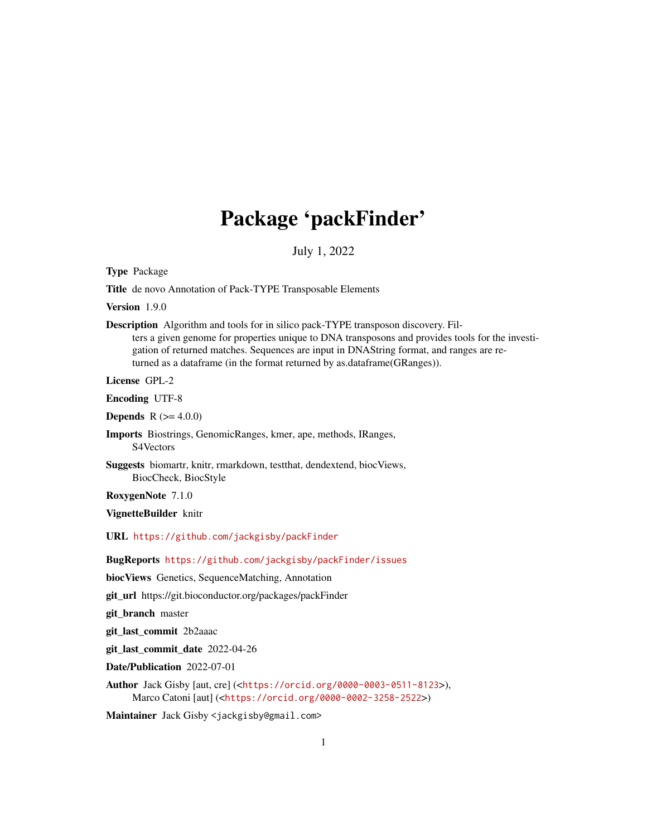# Package 'packFinder'

July 1, 2022

<span id="page-0-0"></span>Type Package

Title de novo Annotation of Pack-TYPE Transposable Elements

Version 1.9.0

Description Algorithm and tools for in silico pack-TYPE transposon discovery. Filters a given genome for properties unique to DNA transposons and provides tools for the investigation of returned matches. Sequences are input in DNAString format, and ranges are returned as a dataframe (in the format returned by as.dataframe(GRanges)).

License GPL-2

Encoding UTF-8

**Depends** R  $(>= 4.0.0)$ 

Imports Biostrings, GenomicRanges, kmer, ape, methods, IRanges, S4Vectors

Suggests biomartr, knitr, rmarkdown, testthat, dendextend, biocViews, BiocCheck, BiocStyle

RoxygenNote 7.1.0

VignetteBuilder knitr

URL <https://github.com/jackgisby/packFinder>

BugReports <https://github.com/jackgisby/packFinder/issues>

biocViews Genetics, SequenceMatching, Annotation

git\_url https://git.bioconductor.org/packages/packFinder

git branch master

git\_last\_commit 2b2aaac

git\_last\_commit\_date 2022-04-26

Date/Publication 2022-07-01

Author Jack Gisby [aut, cre] (<<https://orcid.org/0000-0003-0511-8123>>), Marco Catoni [aut] (<<https://orcid.org/0000-0002-3258-2522>>)

Maintainer Jack Gisby <jackgisby@gmail.com>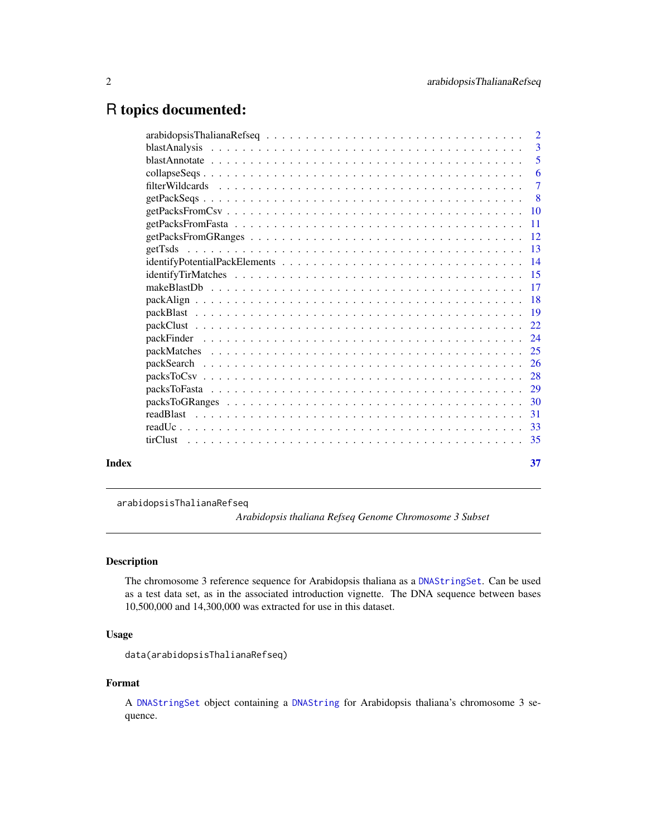# <span id="page-1-0"></span>R topics documented:

|       | -3                        |
|-------|---------------------------|
|       | 5                         |
|       | $6\overline{6}$           |
|       | $\overline{7}$            |
|       | $\overline{\phantom{0}}8$ |
|       |                           |
|       |                           |
|       |                           |
|       |                           |
|       |                           |
|       |                           |
|       |                           |
|       |                           |
|       |                           |
|       |                           |
|       |                           |
|       |                           |
|       |                           |
|       |                           |
|       |                           |
|       |                           |
|       |                           |
|       |                           |
|       |                           |
| Index | 37                        |

<span id="page-1-1"></span>arabidopsisThalianaRefseq

*Arabidopsis thaliana Refseq Genome Chromosome 3 Subset*

# Description

The chromosome 3 reference sequence for Arabidopsis thaliana as a [DNAStringSet](#page-0-0). Can be used as a test data set, as in the associated introduction vignette. The DNA sequence between bases 10,500,000 and 14,300,000 was extracted for use in this dataset.

# Usage

data(arabidopsisThalianaRefseq)

#### Format

A [DNAStringSet](#page-0-0) object containing a [DNAString](#page-0-0) for Arabidopsis thaliana's chromosome 3 sequence.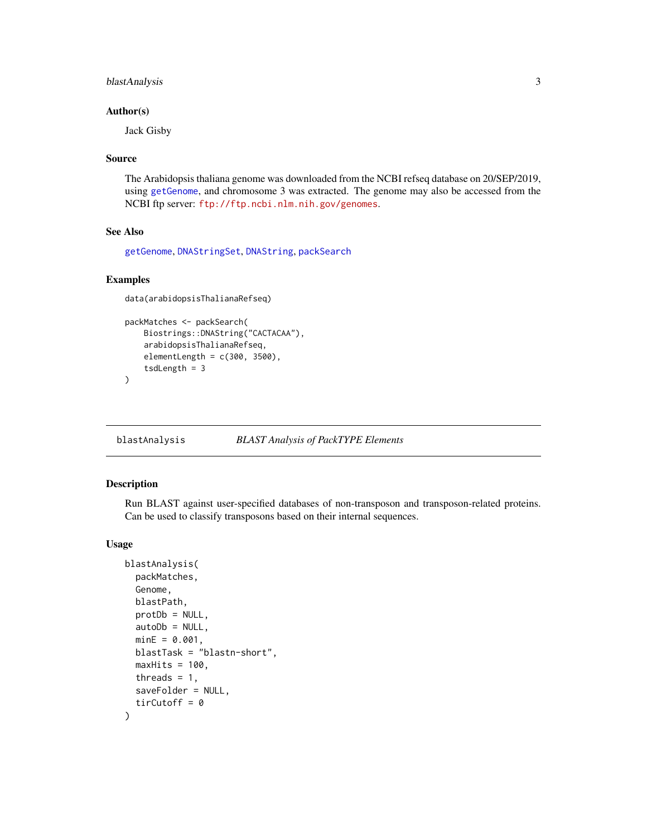# <span id="page-2-0"></span>blastAnalysis 3

#### Author(s)

Jack Gisby

#### Source

The Arabidopsis thaliana genome was downloaded from the NCBI refseq database on 20/SEP/2019, using [getGenome](#page-0-0), and chromosome 3 was extracted. The genome may also be accessed from the NCBI ftp server: <ftp://ftp.ncbi.nlm.nih.gov/genomes>.

# See Also

[getGenome](#page-0-0), [DNAStringSet](#page-0-0), [DNAString](#page-0-0), [packSearch](#page-25-1)

# Examples

```
data(arabidopsisThalianaRefseq)
```

```
packMatches <- packSearch(
   Biostrings::DNAString("CACTACAA"),
   arabidopsisThalianaRefseq,
   elementLength = c(300, 3500),
    tsdLength = 3
)
```
<span id="page-2-1"></span>blastAnalysis *BLAST Analysis of PackTYPE Elements*

#### Description

Run BLAST against user-specified databases of non-transposon and transposon-related proteins. Can be used to classify transposons based on their internal sequences.

#### Usage

```
blastAnalysis(
  packMatches,
  Genome,
  blastPath,
  protDb = NULL,
  autoDb = NULL,minE = 0.001,blastTask = "blastn-short",
 maxHist = 100,
  threads = 1,
  saveFolder = NULL,
  tirCutoff = 0)
```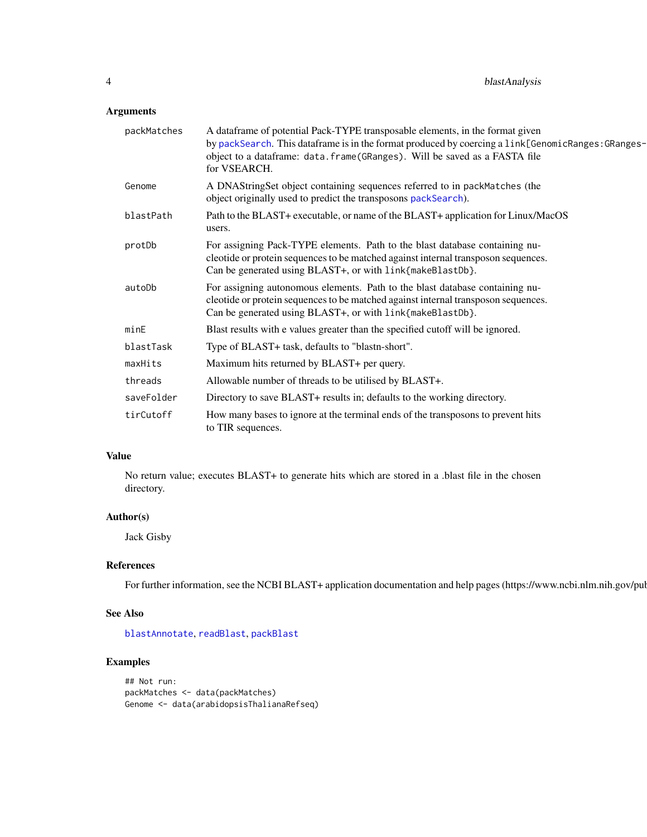# <span id="page-3-0"></span>Arguments

| packMatches | A dataframe of potential Pack-TYPE transposable elements, in the format given<br>by packSearch. This dataframe is in the format produced by coercing a link[GenomicRanges: GRanges-<br>object to a dataframe: data.frame(GRanges). Will be saved as a FASTA file<br>for VSEARCH. |
|-------------|----------------------------------------------------------------------------------------------------------------------------------------------------------------------------------------------------------------------------------------------------------------------------------|
| Genome      | A DNAStringSet object containing sequences referred to in packMatches (the<br>object originally used to predict the transposons packSearch).                                                                                                                                     |
| blastPath   | Path to the BLAST+ executable, or name of the BLAST+ application for Linux/MacOS<br>users.                                                                                                                                                                                       |
| protDb      | For assigning Pack-TYPE elements. Path to the blast database containing nu-<br>cleotide or protein sequences to be matched against internal transposon sequences.<br>Can be generated using BLAST+, or with link{makeBlastDb}.                                                   |
| autoDb      | For assigning autonomous elements. Path to the blast database containing nu-<br>cleotide or protein sequences to be matched against internal transposon sequences.<br>Can be generated using BLAST+, or with link{makeBlastDb}.                                                  |
| minE        | Blast results with e values greater than the specified cutoff will be ignored.                                                                                                                                                                                                   |
| blastTask   | Type of BLAST+ task, defaults to "blastn-short".                                                                                                                                                                                                                                 |
| maxHits     | Maximum hits returned by BLAST+ per query.                                                                                                                                                                                                                                       |
| threads     | Allowable number of threads to be utilised by BLAST+.                                                                                                                                                                                                                            |
| saveFolder  | Directory to save BLAST+ results in; defaults to the working directory.                                                                                                                                                                                                          |
| tirCutoff   | How many bases to ignore at the terminal ends of the transposons to prevent hits<br>to TIR sequences.                                                                                                                                                                            |

# Value

No return value; executes BLAST+ to generate hits which are stored in a .blast file in the chosen directory.

# Author(s)

Jack Gisby

# References

For further information, see the NCBI BLAST+ application documentation and help pages (https://www.ncbi.nlm.nih.gov/pul

# See Also

[blastAnnotate](#page-4-1), [readBlast](#page-30-1), [packBlast](#page-18-1)

# Examples

## Not run: packMatches <- data(packMatches) Genome <- data(arabidopsisThalianaRefseq)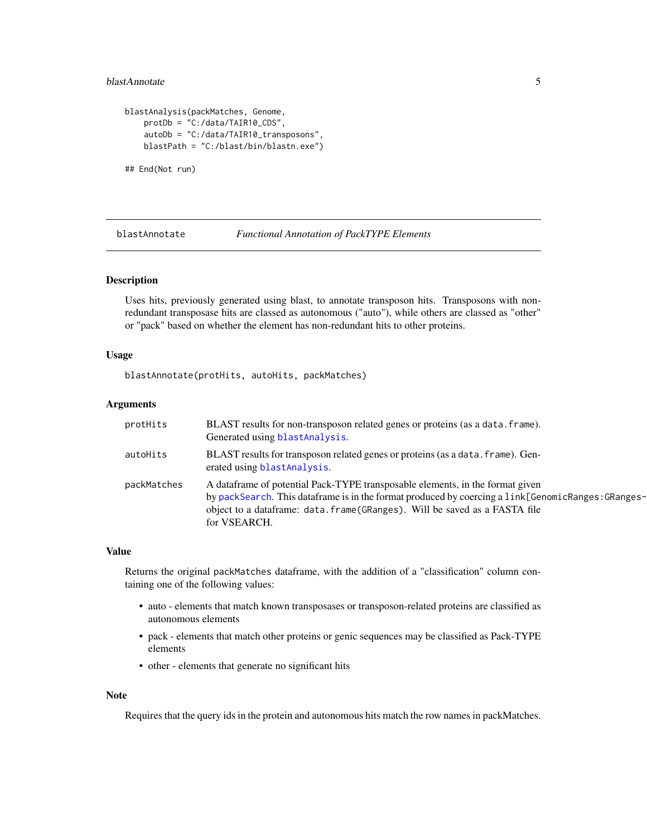# <span id="page-4-0"></span>blastAnnotate 5

```
blastAnalysis(packMatches, Genome,
   protDb = "C:/data/TAIR10_CDS",
    autoDb = "C:/data/TAIR10_transposons",
   blastPath = "C:/blast/bin/blastn.exe")
## End(Not run)
```
<span id="page-4-1"></span>blastAnnotate *Functional Annotation of PackTYPE Elements*

# Description

Uses hits, previously generated using blast, to annotate transposon hits. Transposons with nonredundant transposase hits are classed as autonomous ("auto"), while others are classed as "other" or "pack" based on whether the element has non-redundant hits to other proteins.

#### Usage

blastAnnotate(protHits, autoHits, packMatches)

#### Arguments

| protHits    | BLAST results for non-transposon related genes or proteins (as a data. frame).<br>Generated using blastAnalysis.                                                                                                                                                                 |
|-------------|----------------------------------------------------------------------------------------------------------------------------------------------------------------------------------------------------------------------------------------------------------------------------------|
| autoHits    | BLAST results for transposon related genes or proteins (as a data. frame). Gen-<br>erated using blast Analysis.                                                                                                                                                                  |
| packMatches | A dataframe of potential Pack-TYPE transposable elements, in the format given<br>by packSearch. This dataframe is in the format produced by coercing a link[GenomicRanges: GRanges-<br>object to a dataframe: data.frame(GRanges). Will be saved as a FASTA file<br>for VSEARCH. |

#### Value

Returns the original packMatches dataframe, with the addition of a "classification" column containing one of the following values:

- auto elements that match known transposases or transposon-related proteins are classified as autonomous elements
- pack elements that match other proteins or genic sequences may be classified as Pack-TYPE elements
- other elements that generate no significant hits

#### Note

Requires that the query ids in the protein and autonomous hits match the row names in packMatches.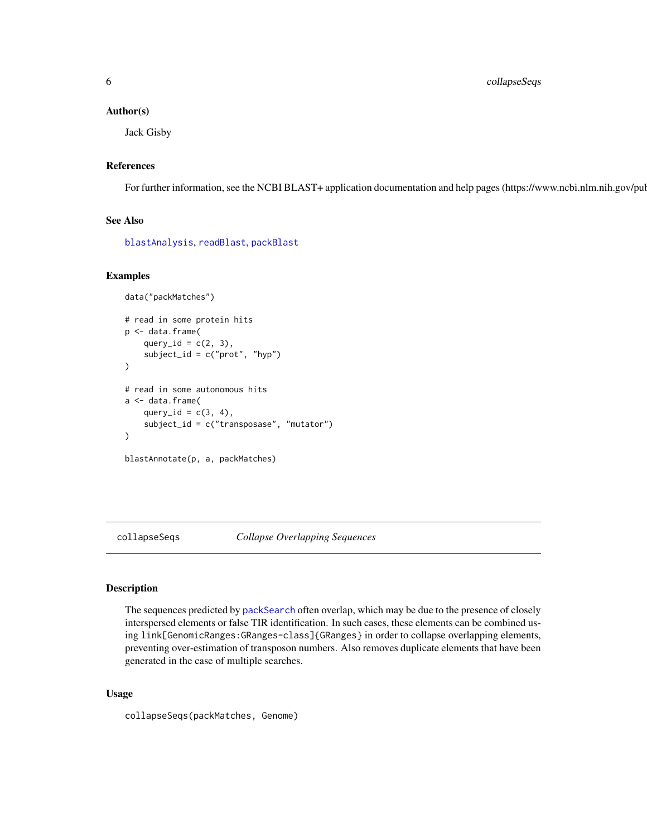<span id="page-5-0"></span>6 collapseSeqs

#### Author(s)

Jack Gisby

# References

For further information, see the NCBI BLAST+ application documentation and help pages (https://www.ncbi.nlm.nih.gov/pul

# See Also

[blastAnalysis](#page-2-1), [readBlast](#page-30-1), [packBlast](#page-18-1)

#### Examples

```
data("packMatches")
# read in some protein hits
p <- data.frame(
    query_id = c(2, 3),
    subject_id = c("prot", "hyp")
\lambda# read in some autonomous hits
a <- data.frame(
    query_id = c(3, 4),
    subject_id = c("transposase", "mutator")
)
blastAnnotate(p, a, packMatches)
```
collapseSeqs *Collapse Overlapping Sequences*

#### Description

The sequences predicted by [packSearch](#page-25-1) often overlap, which may be due to the presence of closely interspersed elements or false TIR identification. In such cases, these elements can be combined using link[GenomicRanges:GRanges-class]{GRanges} in order to collapse overlapping elements, preventing over-estimation of transposon numbers. Also removes duplicate elements that have been generated in the case of multiple searches.

#### Usage

collapseSeqs(packMatches, Genome)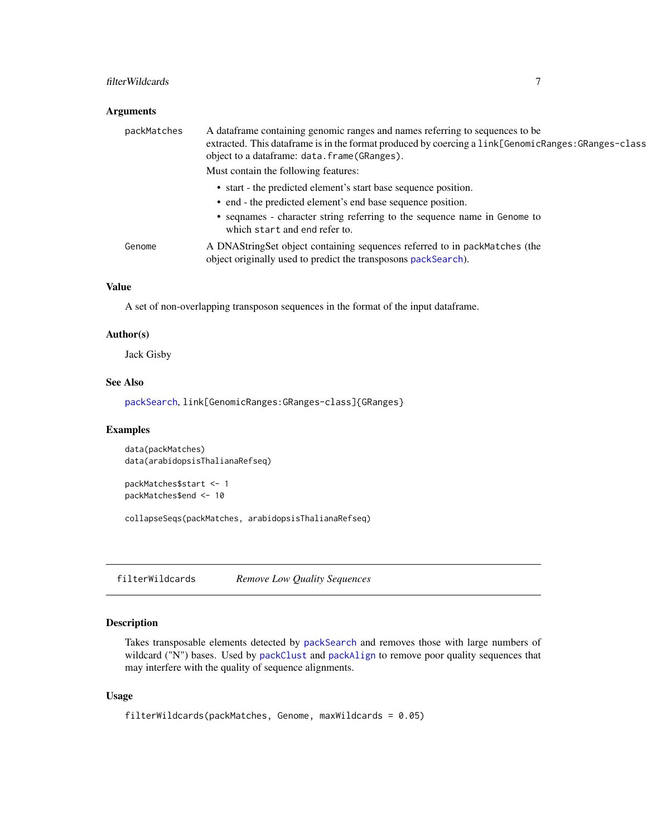#### <span id="page-6-0"></span>filterWildcards 7 and 7 and 7 and 7 and 7 and 7 and 7 and 7 and 7 and 7 and 7 and 7 and 7 and 7 and 7 and 7 and 7 and 7 and 7 and 7 and 7 and 7 and 7 and 7 and 7 and 7 and 7 and 7 and 7 and 7 and 7 and 7 and 7 and 7 and 7

# Arguments

| packMatches | A dataframe containing genomic ranges and names referring to sequences to be<br>extracted. This data frame is in the format produced by coercing a link[GenomicRanges: GRanges-class<br>object to a dataframe: data.frame(GRanges). |
|-------------|-------------------------------------------------------------------------------------------------------------------------------------------------------------------------------------------------------------------------------------|
|             | Must contain the following features:                                                                                                                                                                                                |
|             | • start - the predicted element's start base sequence position.                                                                                                                                                                     |
|             | • end - the predicted element's end base sequence position.                                                                                                                                                                         |
|             | • sequames - character string referring to the sequence name in Genome to<br>which start and end refer to.                                                                                                                          |
| Genome      | A DNAStringSet object containing sequences referred to in packMatches (the<br>object originally used to predict the transposons packSearch).                                                                                        |

# Value

A set of non-overlapping transposon sequences in the format of the input dataframe.

#### Author(s)

Jack Gisby

# See Also

[packSearch](#page-25-1), link[GenomicRanges:GRanges-class]{GRanges}

# Examples

data(packMatches) data(arabidopsisThalianaRefseq)

```
packMatches$start <- 1
packMatches$end <- 10
```
collapseSeqs(packMatches, arabidopsisThalianaRefseq)

<span id="page-6-1"></span>filterWildcards *Remove Low Quality Sequences*

# Description

Takes transposable elements detected by [packSearch](#page-25-1) and removes those with large numbers of wildcard ("N") bases. Used by [packClust](#page-21-1) and [packAlign](#page-17-1) to remove poor quality sequences that may interfere with the quality of sequence alignments.

#### Usage

```
filterWildcards(packMatches, Genome, maxWildcards = 0.05)
```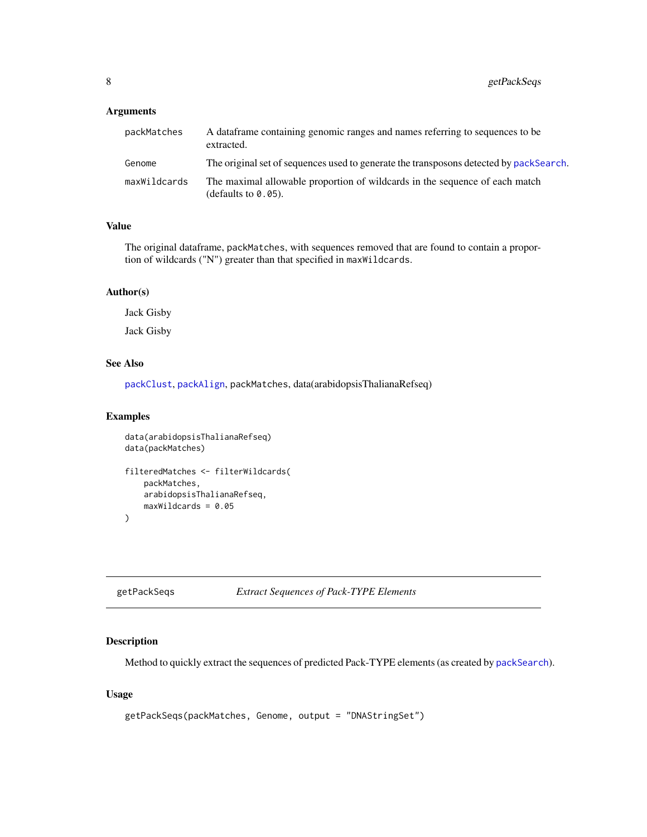# <span id="page-7-0"></span>Arguments

| packMatches  | A data frame containing genomic ranges and names referring to sequences to be<br>extracted.           |
|--------------|-------------------------------------------------------------------------------------------------------|
| Genome       | The original set of sequences used to generate the transposons detected by packSearch.                |
| maxWildcards | The maximal allowable proportion of wildcards in the sequence of each match<br>(defaults to $0.05$ ). |

### Value

The original dataframe, packMatches, with sequences removed that are found to contain a proportion of wildcards ("N") greater than that specified in maxWildcards.

# Author(s)

Jack Gisby

Jack Gisby

# See Also

[packClust](#page-21-1), [packAlign](#page-17-1), packMatches, data(arabidopsisThalianaRefseq)

# Examples

```
data(arabidopsisThalianaRefseq)
data(packMatches)
filteredMatches <- filterWildcards(
   packMatches,
   arabidopsisThalianaRefseq,
   maxWildcards = 0.05
\mathcal{L}
```
getPackSeqs *Extract Sequences of Pack-TYPE Elements*

#### Description

Method to quickly extract the sequences of predicted Pack-TYPE elements (as created by [packSearch](#page-25-1)).

# Usage

```
getPackSeqs(packMatches, Genome, output = "DNAStringSet")
```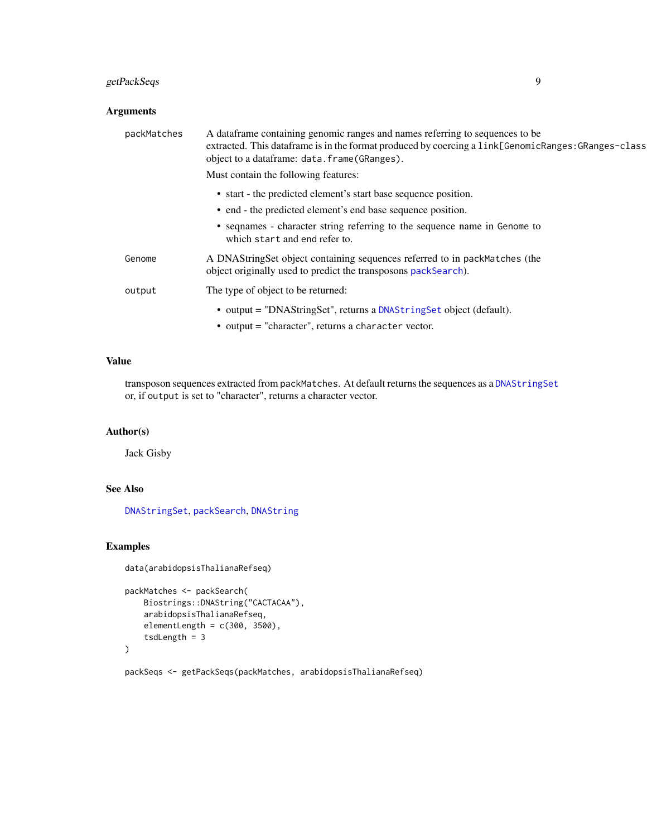# <span id="page-8-0"></span>getPackSeqs 9

# Arguments

| packMatches | A data frame containing genomic ranges and names referring to sequences to be<br>extracted. This data frame is in the format produced by coercing a link[GenomicRanges: GRanges-class]<br>object to a dataframe: data.frame(GRanges). |
|-------------|---------------------------------------------------------------------------------------------------------------------------------------------------------------------------------------------------------------------------------------|
|             | Must contain the following features:                                                                                                                                                                                                  |
|             | • start - the predicted element's start base sequence position.                                                                                                                                                                       |
|             | • end - the predicted element's end base sequence position.                                                                                                                                                                           |
|             | • sequames - character string referring to the sequence name in Genome to<br>which start and end refer to.                                                                                                                            |
| Genome      | A DNAStringSet object containing sequences referred to in packMatches (the<br>object originally used to predict the transposons packSearch).                                                                                          |
| output      | The type of object to be returned:                                                                                                                                                                                                    |
|             | • output = "DNAStringSet", returns a DNAStringSet object (default).<br>• output = "character", returns a character vector.                                                                                                            |

# Value

transposon sequences extracted from packMatches. At default returns the sequences as a [DNAStringSet](#page-0-0) or, if output is set to "character", returns a character vector.

# Author(s)

Jack Gisby

# See Also

[DNAStringSet](#page-0-0), [packSearch](#page-25-1), [DNAString](#page-0-0)

# Examples

```
data(arabidopsisThalianaRefseq)
```

```
packMatches <- packSearch(
   Biostrings::DNAString("CACTACAA"),
   arabidopsisThalianaRefseq,
   elementLength = c(300, 3500),
   tsdLength = 3
)
```
packSeqs <- getPackSeqs(packMatches, arabidopsisThalianaRefseq)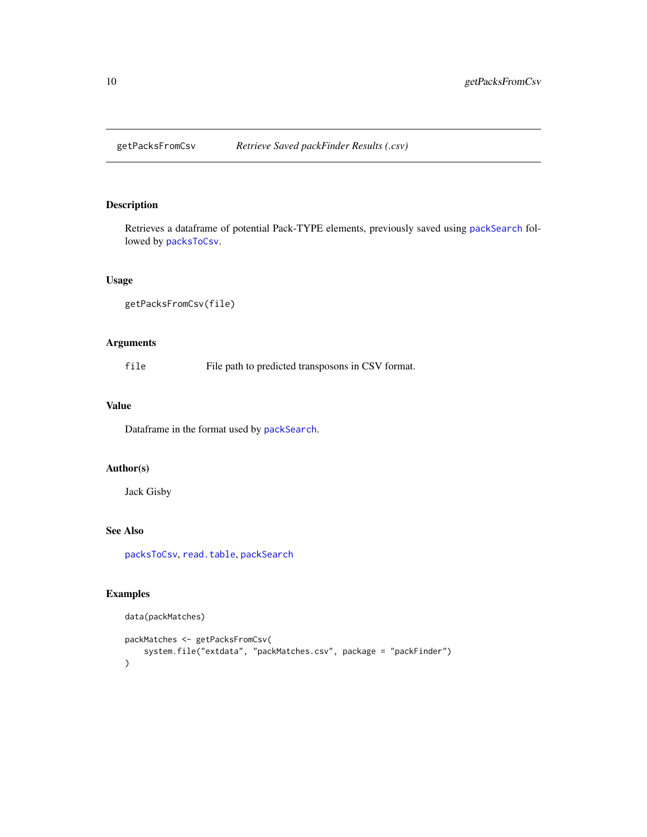<span id="page-9-1"></span><span id="page-9-0"></span>

# Description

Retrieves a dataframe of potential Pack-TYPE elements, previously saved using [packSearch](#page-25-1) followed by [packsToCsv](#page-27-1).

#### Usage

```
getPacksFromCsv(file)
```
# Arguments

file File path to predicted transposons in CSV format.

# Value

Dataframe in the format used by [packSearch](#page-25-1).

#### Author(s)

Jack Gisby

#### See Also

[packsToCsv](#page-27-1), [read.table](#page-0-0), [packSearch](#page-25-1)

# Examples

data(packMatches)

```
packMatches <- getPacksFromCsv(
    system.file("extdata", "packMatches.csv", package = "packFinder")
\mathcal{L}
```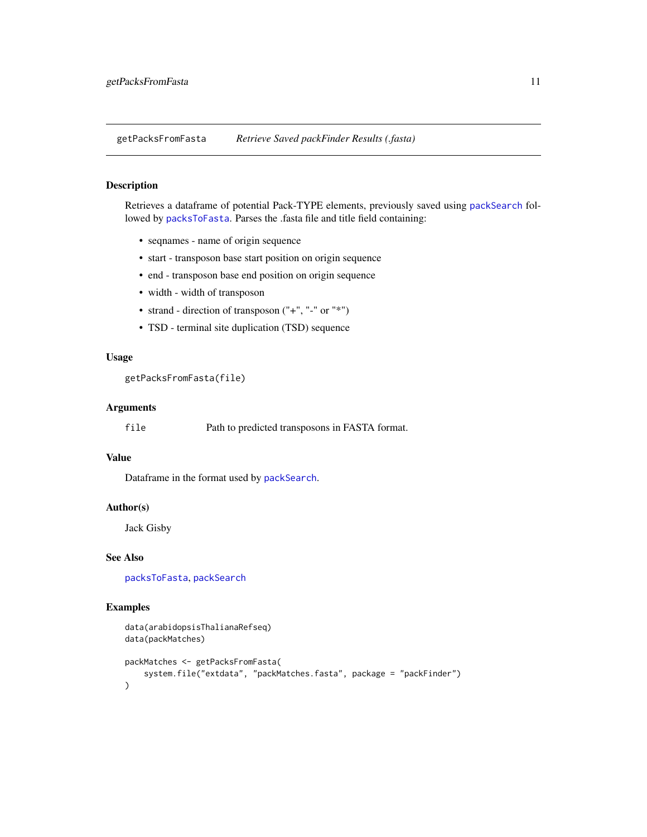<span id="page-10-1"></span><span id="page-10-0"></span>getPacksFromFasta *Retrieve Saved packFinder Results (.fasta)*

# Description

Retrieves a dataframe of potential Pack-TYPE elements, previously saved using [packSearch](#page-25-1) followed by [packsToFasta](#page-28-1). Parses the .fasta file and title field containing:

- seqnames name of origin sequence
- start transposon base start position on origin sequence
- end transposon base end position on origin sequence
- width width of transposon
- strand direction of transposon ("+", "-" or "\*")
- TSD terminal site duplication (TSD) sequence

# Usage

```
getPacksFromFasta(file)
```
# Arguments

file Path to predicted transposons in FASTA format.

#### Value

Dataframe in the format used by [packSearch](#page-25-1).

#### Author(s)

Jack Gisby

# See Also

[packsToFasta](#page-28-1), [packSearch](#page-25-1)

#### Examples

```
data(arabidopsisThalianaRefseq)
data(packMatches)
packMatches <- getPacksFromFasta(
    system.file("extdata", "packMatches.fasta", package = "packFinder")
\mathcal{L}
```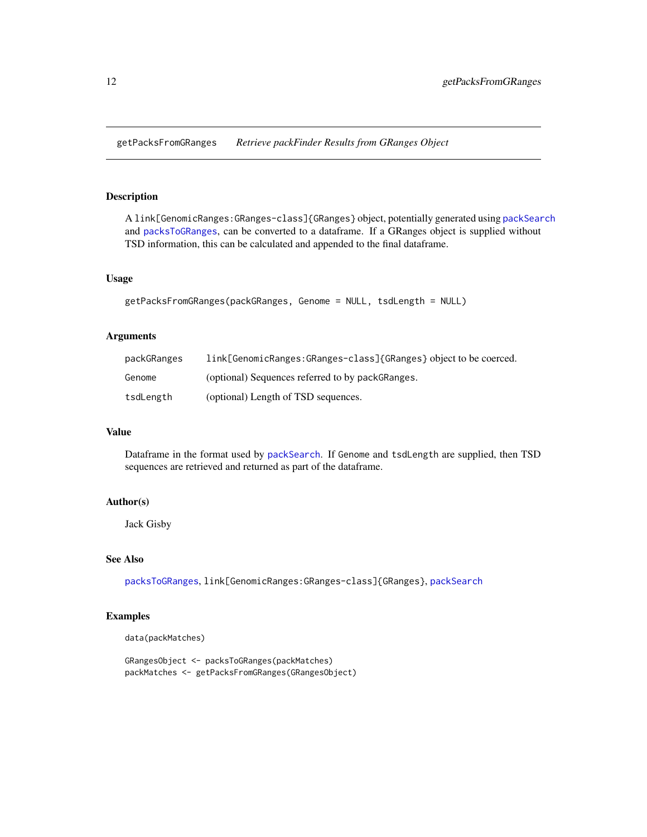<span id="page-11-1"></span><span id="page-11-0"></span>getPacksFromGRanges *Retrieve packFinder Results from GRanges Object*

# Description

A link[GenomicRanges:GRanges-class]{GRanges} object, potentially generated using [packSearch](#page-25-1) and [packsToGRanges](#page-29-1), can be converted to a dataframe. If a GRanges object is supplied without TSD information, this can be calculated and appended to the final dataframe.

# Usage

```
getPacksFromGRanges(packGRanges, Genome = NULL, tsdLength = NULL)
```
#### Arguments

| packGRanges | link[GenomicRanges:GRanges-class]{GRanges} object to be coerced. |
|-------------|------------------------------------------------------------------|
| Genome      | (optional) Sequences referred to by packGRanges.                 |
| tsdLength   | (optional) Length of TSD sequences.                              |

# Value

Dataframe in the format used by [packSearch](#page-25-1). If Genome and tsdLength are supplied, then TSD sequences are retrieved and returned as part of the dataframe.

#### Author(s)

Jack Gisby

#### See Also

[packsToGRanges](#page-29-1), link[GenomicRanges:GRanges-class]{GRanges}, [packSearch](#page-25-1)

# Examples

data(packMatches)

```
GRangesObject <- packsToGRanges(packMatches)
packMatches <- getPacksFromGRanges(GRangesObject)
```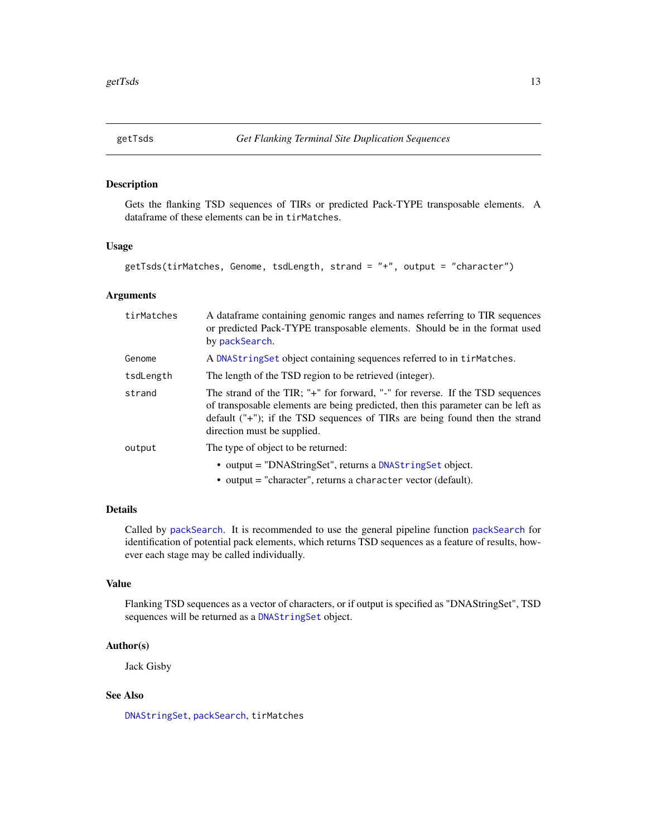<span id="page-12-1"></span><span id="page-12-0"></span>

#### Description

Gets the flanking TSD sequences of TIRs or predicted Pack-TYPE transposable elements. A dataframe of these elements can be in tirMatches.

# Usage

```
getTsds(tirMatches, Genome, tsdLength, strand = "+", output = "character")
```
# Arguments

| tirMatches | A dataframe containing genomic ranges and names referring to TIR sequences<br>or predicted Pack-TYPE transposable elements. Should be in the format used<br>by packSearch.                                                                                                         |
|------------|------------------------------------------------------------------------------------------------------------------------------------------------------------------------------------------------------------------------------------------------------------------------------------|
| Genome     | A DNAString Set object containing sequences referred to in tirMatches.                                                                                                                                                                                                             |
| tsdLength  | The length of the TSD region to be retrieved (integer).                                                                                                                                                                                                                            |
| strand     | The strand of the TIR; "+" for forward, "-" for reverse. If the TSD sequences<br>of transposable elements are being predicted, then this parameter can be left as<br>default $("+")$ ; if the TSD sequences of TIRs are being found then the strand<br>direction must be supplied. |
| output     | The type of object to be returned:                                                                                                                                                                                                                                                 |
|            | • output = "DNAStringSet", returns a DNAStringSet object.<br>$\bullet$ output = "character", returns a character vector (default).                                                                                                                                                 |

# Details

Called by [packSearch](#page-25-1). It is recommended to use the general pipeline function [packSearch](#page-25-1) for identification of potential pack elements, which returns TSD sequences as a feature of results, however each stage may be called individually.

# Value

Flanking TSD sequences as a vector of characters, or if output is specified as "DNAStringSet", TSD sequences will be returned as a [DNAStringSet](#page-0-0) object.

# Author(s)

Jack Gisby

# See Also

[DNAStringSet](#page-0-0), [packSearch](#page-25-1), tirMatches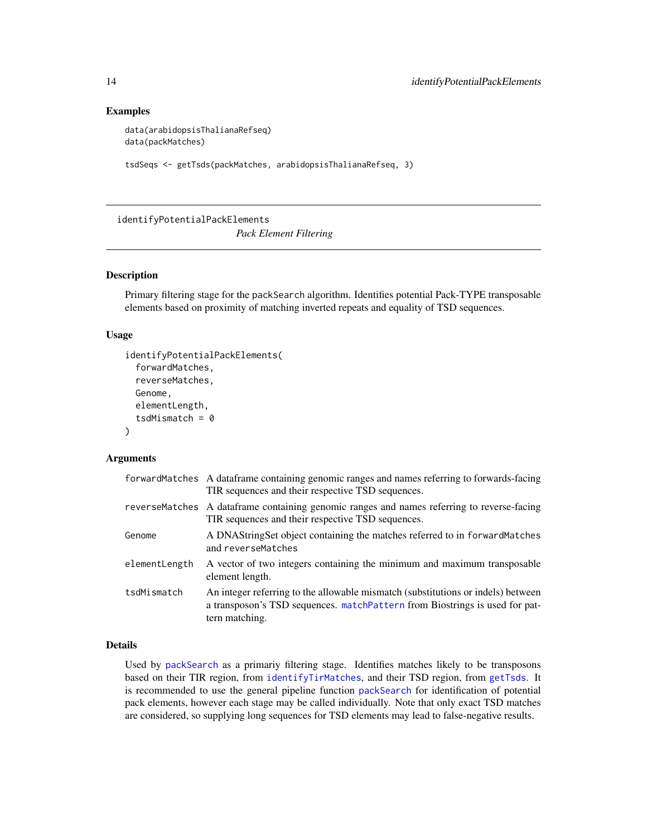#### Examples

```
data(arabidopsisThalianaRefseq)
data(packMatches)
```

```
tsdSeqs <- getTsds(packMatches, arabidopsisThalianaRefseq, 3)
```
<span id="page-13-1"></span>identifyPotentialPackElements

*Pack Element Filtering*

#### Description

Primary filtering stage for the packSearch algorithm. Identifies potential Pack-TYPE transposable elements based on proximity of matching inverted repeats and equality of TSD sequences.

#### Usage

```
identifyPotentialPackElements(
  forwardMatches,
  reverseMatches,
 Genome,
  elementLength,
  tsdMismatch = 0)
```
# Arguments

|               | forwardMatches A dataframe containing genomic ranges and names referring to forwards-facing<br>TIR sequences and their respective TSD sequences.                                  |
|---------------|-----------------------------------------------------------------------------------------------------------------------------------------------------------------------------------|
|               | reverseMatches A dataframe containing genomic ranges and names referring to reverse-facing<br>TIR sequences and their respective TSD sequences.                                   |
| Genome        | A DNAStringSet object containing the matches referred to in forwardMatches<br>and reverseMatches                                                                                  |
| elementLength | A vector of two integers containing the minimum and maximum transposable<br>element length.                                                                                       |
| tsdMismatch   | An integer referring to the allowable mismatch (substitutions or indels) between<br>a transposon's TSD sequences. matchPattern from Biostrings is used for pat-<br>tern matching. |

# Details

Used by [packSearch](#page-25-1) as a primariy filtering stage. Identifies matches likely to be transposons based on their TIR region, from [identifyTirMatches](#page-14-1), and their TSD region, from [getTsds](#page-12-1). It is recommended to use the general pipeline function [packSearch](#page-25-1) for identification of potential pack elements, however each stage may be called individually. Note that only exact TSD matches are considered, so supplying long sequences for TSD elements may lead to false-negative results.

<span id="page-13-0"></span>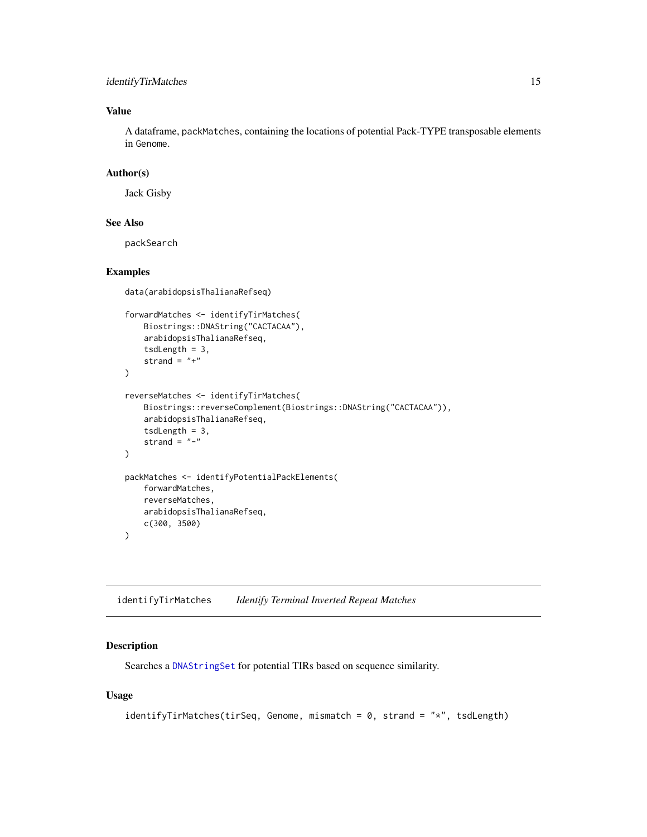# <span id="page-14-0"></span>identifyTirMatches 15

# Value

A dataframe, packMatches, containing the locations of potential Pack-TYPE transposable elements in Genome.

# Author(s)

Jack Gisby

# See Also

packSearch

# Examples

```
data(arabidopsisThalianaRefseq)
forwardMatches <- identifyTirMatches(
    Biostrings::DNAString("CACTACAA"),
    arabidopsisThalianaRefseq,
    tsdLength = 3,
    strand = "+"
)
reverseMatches <- identifyTirMatches(
    Biostrings::reverseComplement(Biostrings::DNAString("CACTACAA")),
    arabidopsisThalianaRefseq,
    tsdLength = 3,
    strand = "-")
packMatches <- identifyPotentialPackElements(
    forwardMatches,
    reverseMatches,
    arabidopsisThalianaRefseq,
    c(300, 3500)
)
```
<span id="page-14-1"></span>identifyTirMatches *Identify Terminal Inverted Repeat Matches*

# Description

Searches a [DNAStringSet](#page-0-0) for potential TIRs based on sequence similarity.

### Usage

```
identifyTirMatches(tirSeq, Genome, mismatch = 0, strand = "*", tsdLength)
```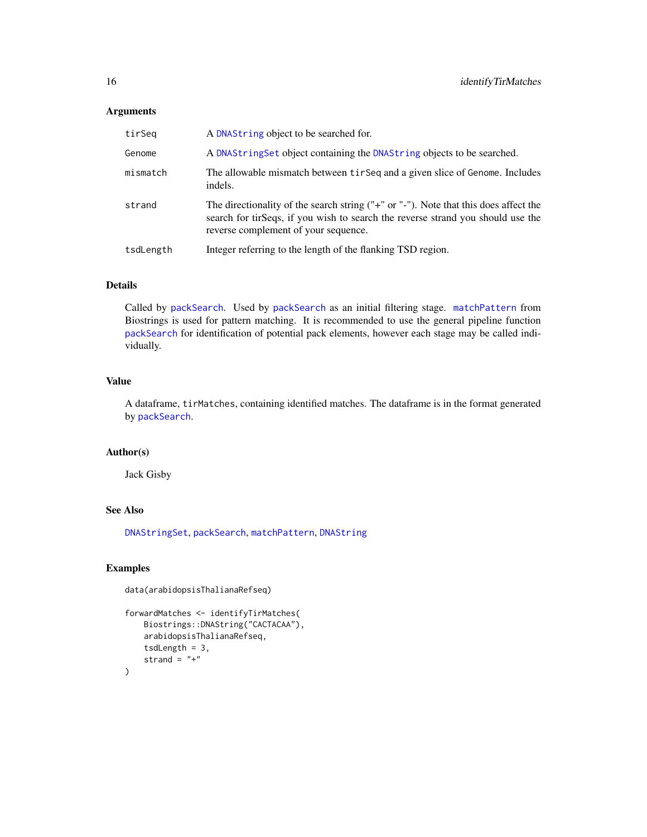# <span id="page-15-0"></span>Arguments

| tirSeq    | A DNAString object to be searched for.                                                                                                                                                                             |
|-----------|--------------------------------------------------------------------------------------------------------------------------------------------------------------------------------------------------------------------|
| Genome    | A DNAString Set object containing the DNAString objects to be searched.                                                                                                                                            |
| mismatch  | The allowable mismatch between tirSeq and a given slice of Genome. Includes<br>indels.                                                                                                                             |
| strand    | The directionality of the search string $("+" or "-")$ . Note that this does affect the<br>search for tirSeqs, if you wish to search the reverse strand you should use the<br>reverse complement of your sequence. |
| tsdLength | Integer referring to the length of the flanking TSD region.                                                                                                                                                        |

# Details

Called by [packSearch](#page-25-1). Used by [packSearch](#page-25-1) as an initial filtering stage. [matchPattern](#page-0-0) from Biostrings is used for pattern matching. It is recommended to use the general pipeline function [packSearch](#page-25-1) for identification of potential pack elements, however each stage may be called individually.

#### Value

A dataframe, tirMatches, containing identified matches. The dataframe is in the format generated by [packSearch](#page-25-1).

# Author(s)

Jack Gisby

# See Also

[DNAStringSet](#page-0-0), [packSearch](#page-25-1), [matchPattern](#page-0-0), [DNAString](#page-0-0)

#### Examples

data(arabidopsisThalianaRefseq)

```
forwardMatches <- identifyTirMatches(
    Biostrings::DNAString("CACTACAA"),
    arabidopsisThalianaRefseq,
    tsdLength = 3,
    strand = "+"
\mathcal{L}
```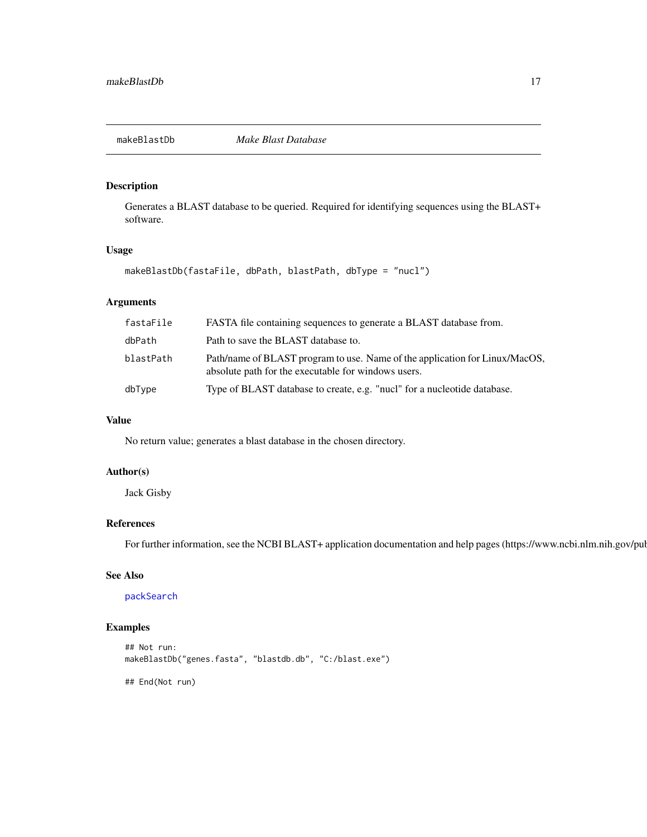<span id="page-16-0"></span>

# Description

Generates a BLAST database to be queried. Required for identifying sequences using the BLAST+ software.

# Usage

```
makeBlastDb(fastaFile, dbPath, blastPath, dbType = "nucl")
```
# Arguments

| fastaFile | FASTA file containing sequences to generate a BLAST database from.                                                                 |
|-----------|------------------------------------------------------------------------------------------------------------------------------------|
| dbPath    | Path to save the BLAST database to.                                                                                                |
| blastPath | Path/name of BLAST program to use. Name of the application for Linux/MacOS,<br>absolute path for the executable for windows users. |
| dbType    | Type of BLAST database to create, e.g. "nucl" for a nucleotide database.                                                           |

# Value

No return value; generates a blast database in the chosen directory.

# Author(s)

Jack Gisby

# References

For further information, see the NCBI BLAST+ application documentation and help pages (https://www.ncbi.nlm.nih.gov/pul

# See Also

[packSearch](#page-25-1)

# Examples

```
## Not run:
makeBlastDb("genes.fasta", "blastdb.db", "C:/blast.exe")
```
## End(Not run)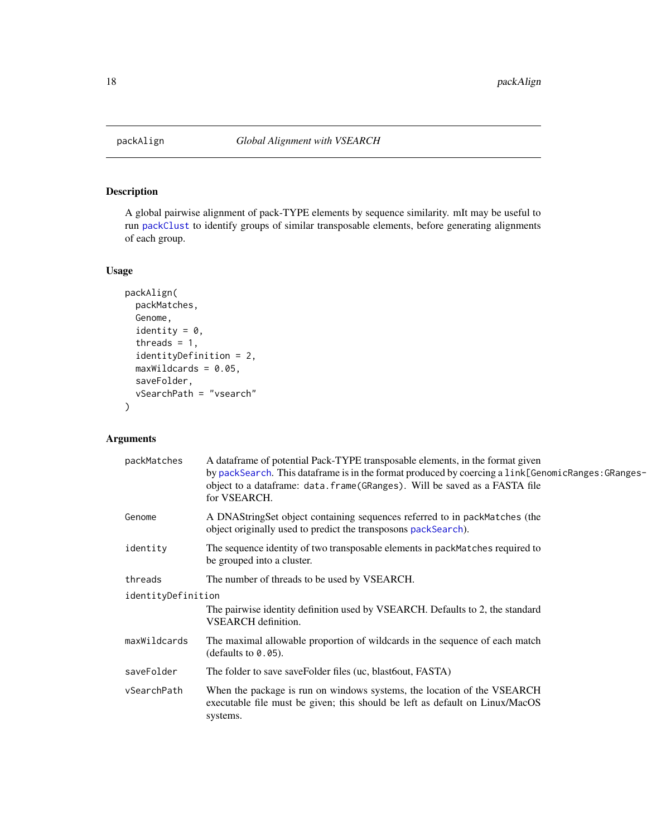<span id="page-17-1"></span><span id="page-17-0"></span>

# Description

A global pairwise alignment of pack-TYPE elements by sequence similarity. mIt may be useful to run [packClust](#page-21-1) to identify groups of similar transposable elements, before generating alignments of each group.

# Usage

```
packAlign(
 packMatches,
 Genome,
  identity = 0,
  threads = 1,
  identityDefinition = 2,
 maxWildcards = 0.05,
  saveFolder,
  vSearchPath = "vsearch"
)
```
# Arguments

| packMatches        | A dataframe of potential Pack-TYPE transposable elements, in the format given<br>by packSearch. This dataframe is in the format produced by coercing a link[GenomicRanges: GRanges-<br>object to a dataframe: data.frame(GRanges). Will be saved as a FASTA file<br>for VSEARCH. |
|--------------------|----------------------------------------------------------------------------------------------------------------------------------------------------------------------------------------------------------------------------------------------------------------------------------|
| Genome             | A DNAStringSet object containing sequences referred to in packMatches (the<br>object originally used to predict the transposons packSearch).                                                                                                                                     |
| identity           | The sequence identity of two transposable elements in packMatches required to<br>be grouped into a cluster.                                                                                                                                                                      |
| threads            | The number of threads to be used by VSEARCH.                                                                                                                                                                                                                                     |
| identityDefinition | The pairwise identity definition used by VSEARCH. Defaults to 2, the standard<br><b>VSEARCH</b> definition.                                                                                                                                                                      |
| maxWildcards       | The maximal allowable proportion of wildcards in the sequence of each match<br>(defaults to $0.05$ ).                                                                                                                                                                            |
| saveFolder         | The folder to save saveFolder files (uc, blastbout, FASTA)                                                                                                                                                                                                                       |
| vSearchPath        | When the package is run on windows systems, the location of the VSEARCH<br>executable file must be given; this should be left as default on Linux/MacOS<br>systems.                                                                                                              |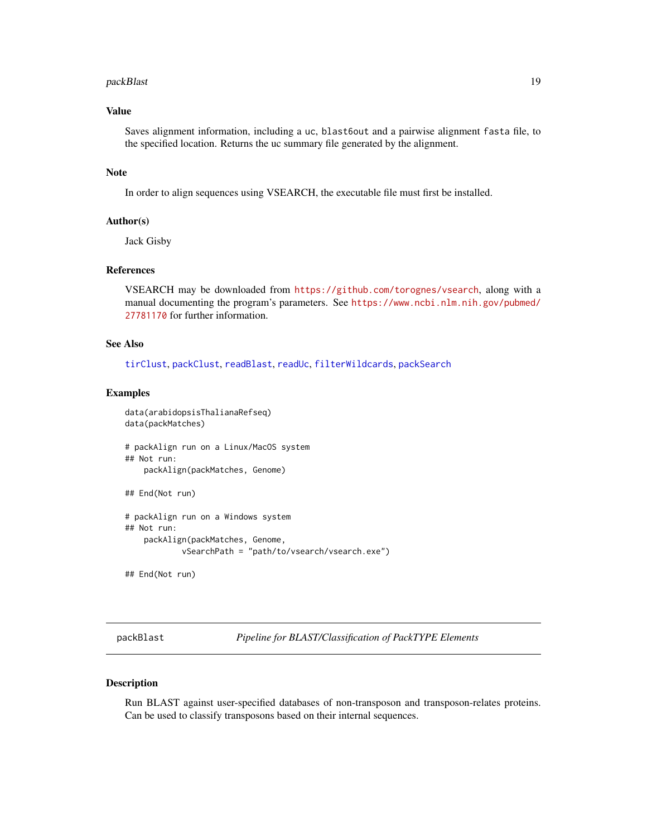#### <span id="page-18-0"></span>packBlast 19

# Value

Saves alignment information, including a uc, blast6out and a pairwise alignment fasta file, to the specified location. Returns the uc summary file generated by the alignment.

#### Note

In order to align sequences using VSEARCH, the executable file must first be installed.

# Author(s)

Jack Gisby

#### References

VSEARCH may be downloaded from <https://github.com/torognes/vsearch>, along with a manual documenting the program's parameters. See [https://www.ncbi.nlm.nih.gov/pubmed/](https://www.ncbi.nlm.nih.gov/pubmed/27781170) [27781170](https://www.ncbi.nlm.nih.gov/pubmed/27781170) for further information.

# See Also

[tirClust](#page-34-1), [packClust](#page-21-1), [readBlast](#page-30-1), [readUc](#page-32-1), [filterWildcards](#page-6-1), [packSearch](#page-25-1)

#### Examples

```
data(arabidopsisThalianaRefseq)
data(packMatches)
# packAlign run on a Linux/MacOS system
## Not run:
   packAlign(packMatches, Genome)
## End(Not run)
# packAlign run on a Windows system
## Not run:
   packAlign(packMatches, Genome,
            vSearchPath = "path/to/vsearch/vsearch.exe")
```
## End(Not run)

<span id="page-18-1"></span>packBlast *Pipeline for BLAST/Classification of PackTYPE Elements*

#### Description

Run BLAST against user-specified databases of non-transposon and transposon-relates proteins. Can be used to classify transposons based on their internal sequences.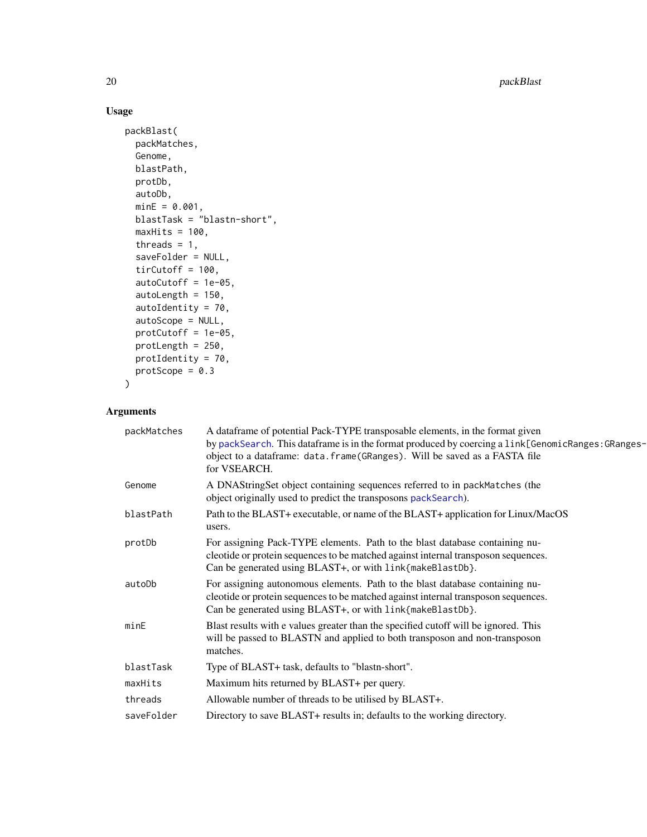20 **packBlast** 

# Usage

```
packBlast(
 packMatches,
 Genome,
 blastPath,
 protDb,
 autoDb,
 minE = 0.001,blastTask = "blastn-short",
 maxHits = 100,
 threads = 1,
 saveFolder = NULL,
 tirCutoff = 100,
 autoCutoff = 1e-05,
  autoLength = 150,
 autoIdentity = 70,
 autoScope = NULL,
 protCutoff = 1e-05,
 protLength = 250,
 protIdentity = 70,
 protScope = 0.3
```

```
\mathcal{L}
```
# Arguments

| packMatches | A dataframe of potential Pack-TYPE transposable elements, in the format given<br>by packSearch. This dataframe is in the format produced by coercing a link[GenomicRanges: GRanges-<br>object to a dataframe: data.frame(GRanges). Will be saved as a FASTA file<br>for VSEARCH. |
|-------------|----------------------------------------------------------------------------------------------------------------------------------------------------------------------------------------------------------------------------------------------------------------------------------|
| Genome      | A DNAStringSet object containing sequences referred to in packMatches (the<br>object originally used to predict the transposons packSearch).                                                                                                                                     |
| blastPath   | Path to the BLAST+ executable, or name of the BLAST+ application for Linux/MacOS<br>users.                                                                                                                                                                                       |
| protDb      | For assigning Pack-TYPE elements. Path to the blast database containing nu-<br>cleotide or protein sequences to be matched against internal transposon sequences.<br>Can be generated using BLAST+, or with link{makeBlastDb}.                                                   |
| autoDb      | For assigning autonomous elements. Path to the blast database containing nu-<br>cleotide or protein sequences to be matched against internal transposon sequences.<br>Can be generated using BLAST+, or with link{makeBlastDb}.                                                  |
| minE        | Blast results with e values greater than the specified cutoff will be ignored. This<br>will be passed to BLASTN and applied to both transposon and non-transposon<br>matches.                                                                                                    |
| blastTask   | Type of BLAST+ task, defaults to "blastn-short".                                                                                                                                                                                                                                 |
| maxHits     | Maximum hits returned by BLAST+ per query.                                                                                                                                                                                                                                       |
| threads     | Allowable number of threads to be utilised by BLAST+.                                                                                                                                                                                                                            |
| saveFolder  | Directory to save BLAST+ results in; defaults to the working directory.                                                                                                                                                                                                          |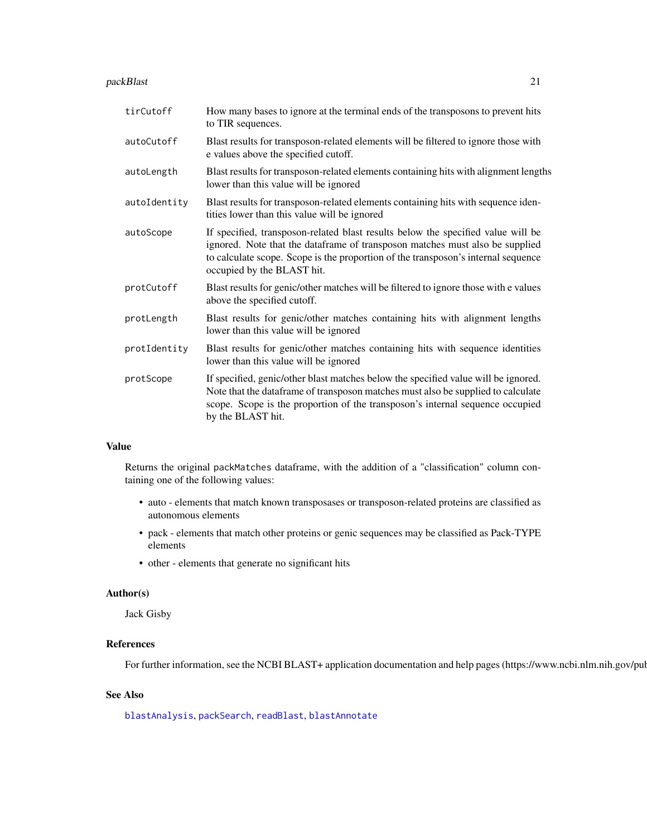#### <span id="page-20-0"></span>packBlast 21

| tirCutoff    | How many bases to ignore at the terminal ends of the transposons to prevent hits<br>to TIR sequences.                                                                                                                                                                               |
|--------------|-------------------------------------------------------------------------------------------------------------------------------------------------------------------------------------------------------------------------------------------------------------------------------------|
| autoCutoff   | Blast results for transposon-related elements will be filtered to ignore those with<br>e values above the specified cutoff.                                                                                                                                                         |
| autoLength   | Blast results for transposon-related elements containing hits with alignment lengths<br>lower than this value will be ignored                                                                                                                                                       |
| autoIdentity | Blast results for transposon-related elements containing hits with sequence iden-<br>tities lower than this value will be ignored                                                                                                                                                   |
| autoScope    | If specified, transposon-related blast results below the specified value will be<br>ignored. Note that the dataframe of transposon matches must also be supplied<br>to calculate scope. Scope is the proportion of the transposon's internal sequence<br>occupied by the BLAST hit. |
| protCutoff   | Blast results for genic/other matches will be filtered to ignore those with e values<br>above the specified cutoff.                                                                                                                                                                 |
| protLength   | Blast results for genic/other matches containing hits with alignment lengths<br>lower than this value will be ignored                                                                                                                                                               |
| protIdentity | Blast results for genic/other matches containing hits with sequence identities<br>lower than this value will be ignored                                                                                                                                                             |
| protScope    | If specified, genic/other blast matches below the specified value will be ignored.<br>Note that the dataframe of transposon matches must also be supplied to calculate<br>scope. Scope is the proportion of the transposon's internal sequence occupied<br>by the BLAST hit.        |

#### Value

Returns the original packMatches dataframe, with the addition of a "classification" column containing one of the following values:

- auto elements that match known transposases or transposon-related proteins are classified as autonomous elements
- pack elements that match other proteins or genic sequences may be classified as Pack-TYPE elements
- other elements that generate no significant hits

#### Author(s)

Jack Gisby

# References

For further information, see the NCBI BLAST+ application documentation and help pages (https://www.ncbi.nlm.nih.gov/pul

#### See Also

[blastAnalysis](#page-2-1), [packSearch](#page-25-1), [readBlast](#page-30-1), [blastAnnotate](#page-4-1)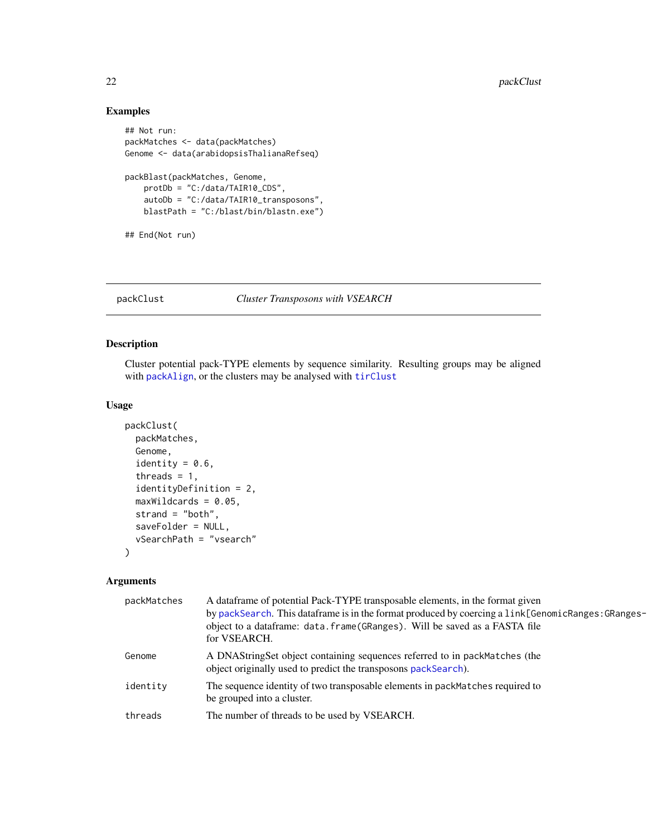# Examples

```
## Not run:
packMatches <- data(packMatches)
Genome <- data(arabidopsisThalianaRefseq)
packBlast(packMatches, Genome,
   protDb = "C:/data/TAIR10_CDS",
   autoDb = "C:/data/TAIR10_transposons",
   blastPath = "C:/blast/bin/blastn.exe")
## End(Not run)
```
<span id="page-21-1"></span>packClust *Cluster Transposons with VSEARCH*

# Description

Cluster potential pack-TYPE elements by sequence similarity. Resulting groups may be aligned with [packAlign](#page-17-1), or the clusters may be analysed with [tirClust](#page-34-1)

#### Usage

```
packClust(
 packMatches,
  Genome,
  identity = 0.6,
  threads = 1,
  identityDefinition = 2,
  maxWildcards = 0.05,
  strand = "both",
  saveFolder = NULL,
  vSearchPath = "vsearch"
)
```
# Arguments

| packMatches | A dataframe of potential Pack-TYPE transposable elements, in the format given<br>by packSearch. This dataframe is in the format produced by coercing a link[GenomicRanges: GRanges-<br>object to a dataframe: data.frame(GRanges). Will be saved as a FASTA file<br>for VSEARCH. |
|-------------|----------------------------------------------------------------------------------------------------------------------------------------------------------------------------------------------------------------------------------------------------------------------------------|
| Genome      | A DNAStringSet object containing sequences referred to in packMatches (the<br>object originally used to predict the transposons packSearch).                                                                                                                                     |
| identity    | The sequence identity of two transposable elements in packMatches required to<br>be grouped into a cluster.                                                                                                                                                                      |
| threads     | The number of threads to be used by VSEARCH.                                                                                                                                                                                                                                     |

<span id="page-21-0"></span>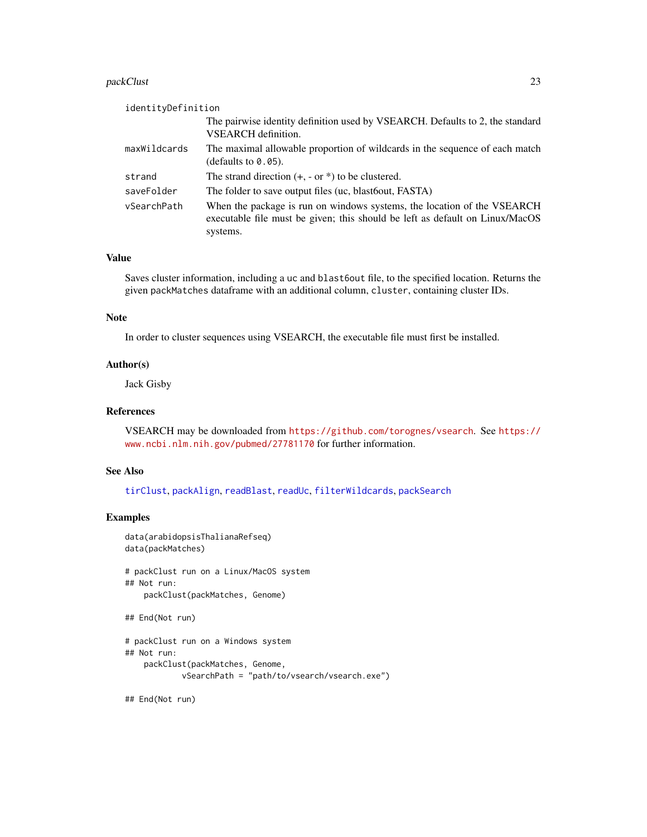#### <span id="page-22-0"></span>packClust 23

| identityDefinition |                                                                                                                                                                     |
|--------------------|---------------------------------------------------------------------------------------------------------------------------------------------------------------------|
|                    | The pairwise identity definition used by VSEARCH. Defaults to 2, the standard<br><b>VSEARCH</b> definition.                                                         |
| maxWildcards       | The maximal allowable proportion of wildcards in the sequence of each match<br>(defaults to $0.05$ ).                                                               |
| strand             | The strand direction $(+, -$ or $*)$ to be clustered.                                                                                                               |
| saveFolder         | The folder to save output files (uc, blastbout, FASTA)                                                                                                              |
| vSearchPath        | When the package is run on windows systems, the location of the VSEARCH<br>executable file must be given; this should be left as default on Linux/MacOS<br>systems. |

#### Value

Saves cluster information, including a uc and blast6out file, to the specified location. Returns the given packMatches dataframe with an additional column, cluster, containing cluster IDs.

#### Note

In order to cluster sequences using VSEARCH, the executable file must first be installed.

#### Author(s)

Jack Gisby

# References

VSEARCH may be downloaded from <https://github.com/torognes/vsearch>. See [https://](https://www.ncbi.nlm.nih.gov/pubmed/27781170) [www.ncbi.nlm.nih.gov/pubmed/27781170](https://www.ncbi.nlm.nih.gov/pubmed/27781170) for further information.

#### See Also

[tirClust](#page-34-1), [packAlign](#page-17-1), [readBlast](#page-30-1), [readUc](#page-32-1), [filterWildcards](#page-6-1), [packSearch](#page-25-1)

# Examples

```
data(arabidopsisThalianaRefseq)
data(packMatches)
```

```
# packClust run on a Linux/MacOS system
## Not run:
   packClust(packMatches, Genome)
```

```
## End(Not run)
```

```
# packClust run on a Windows system
## Not run:
   packClust(packMatches, Genome,
            vSearchPath = "path/to/vsearch/vsearch.exe")
```
## End(Not run)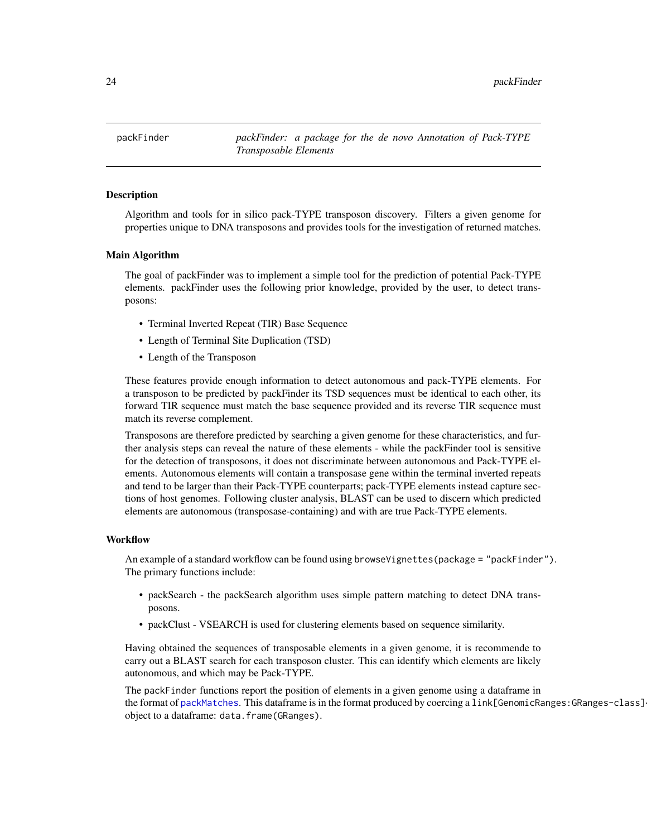<span id="page-23-0"></span>packFinder *packFinder: a package for the de novo Annotation of Pack-TYPE Transposable Elements*

#### **Description**

Algorithm and tools for in silico pack-TYPE transposon discovery. Filters a given genome for properties unique to DNA transposons and provides tools for the investigation of returned matches.

#### Main Algorithm

The goal of packFinder was to implement a simple tool for the prediction of potential Pack-TYPE elements. packFinder uses the following prior knowledge, provided by the user, to detect transposons:

- Terminal Inverted Repeat (TIR) Base Sequence
- Length of Terminal Site Duplication (TSD)
- Length of the Transposon

These features provide enough information to detect autonomous and pack-TYPE elements. For a transposon to be predicted by packFinder its TSD sequences must be identical to each other, its forward TIR sequence must match the base sequence provided and its reverse TIR sequence must match its reverse complement.

Transposons are therefore predicted by searching a given genome for these characteristics, and further analysis steps can reveal the nature of these elements - while the packFinder tool is sensitive for the detection of transposons, it does not discriminate between autonomous and Pack-TYPE elements. Autonomous elements will contain a transposase gene within the terminal inverted repeats and tend to be larger than their Pack-TYPE counterparts; pack-TYPE elements instead capture sections of host genomes. Following cluster analysis, BLAST can be used to discern which predicted elements are autonomous (transposase-containing) and with are true Pack-TYPE elements.

#### **Workflow**

An example of a standard workflow can be found using browseVignettes(package = "packFinder"). The primary functions include:

- packSearch the packSearch algorithm uses simple pattern matching to detect DNA transposons.
- packClust VSEARCH is used for clustering elements based on sequence similarity.

Having obtained the sequences of transposable elements in a given genome, it is recommende to carry out a BLAST search for each transposon cluster. This can identify which elements are likely autonomous, and which may be Pack-TYPE.

The packFinder functions report the position of elements in a given genome using a dataframe in the format of [packMatches](#page-24-1). This dataframe is in the format produced by coercing a link[GenomicRanges:GRanges-class] object to a dataframe: data.frame(GRanges).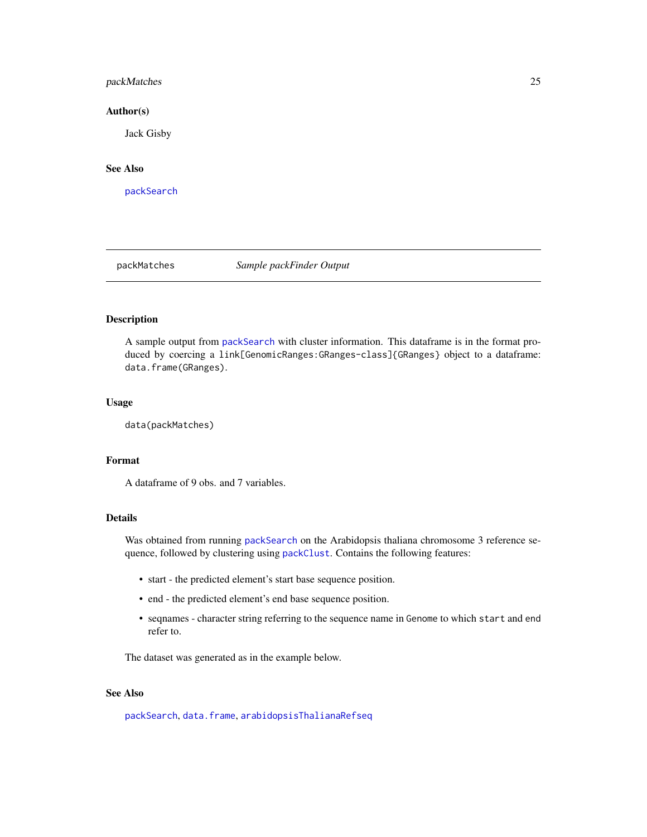# <span id="page-24-0"></span>packMatches 25

#### Author(s)

Jack Gisby

# See Also

[packSearch](#page-25-1)

<span id="page-24-1"></span>

packMatches *Sample packFinder Output*

# Description

A sample output from [packSearch](#page-25-1) with cluster information. This dataframe is in the format produced by coercing a link[GenomicRanges:GRanges-class]{GRanges} object to a dataframe: data.frame(GRanges).

# Usage

data(packMatches)

#### Format

A dataframe of 9 obs. and 7 variables.

# Details

Was obtained from running [packSearch](#page-25-1) on the Arabidopsis thaliana chromosome 3 reference sequence, followed by clustering using [packClust](#page-21-1). Contains the following features:

- start the predicted element's start base sequence position.
- end the predicted element's end base sequence position.
- seqnames character string referring to the sequence name in Genome to which start and end refer to.

The dataset was generated as in the example below.

# See Also

[packSearch](#page-25-1), [data.frame](#page-0-0), [arabidopsisThalianaRefseq](#page-1-1)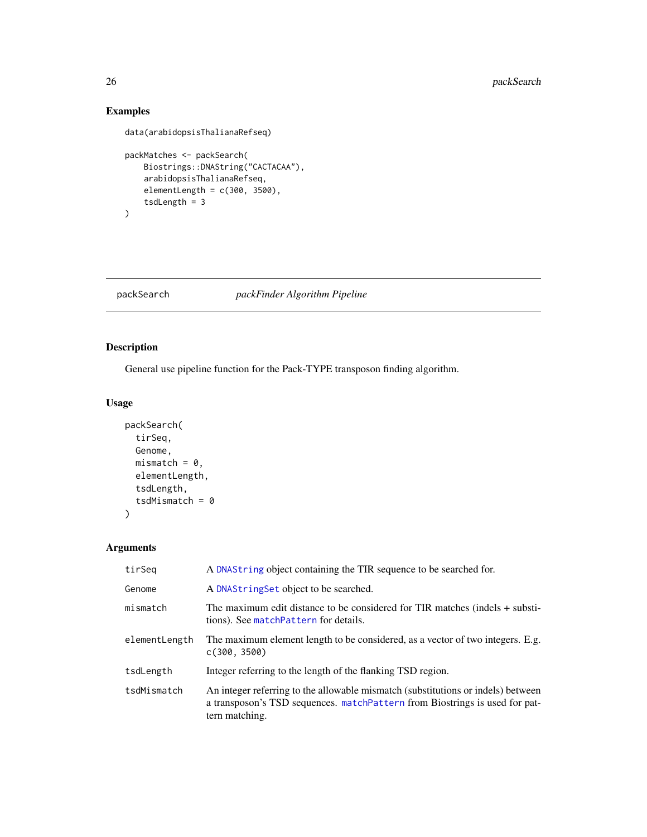# Examples

```
data(arabidopsisThalianaRefseq)
```

```
packMatches <- packSearch(
   Biostrings::DNAString("CACTACAA"),
   arabidopsisThalianaRefseq,
   elementLength = c(300, 3500),
    tsdLength = 3
)
```
<span id="page-25-1"></span>packSearch *packFinder Algorithm Pipeline*

# Description

General use pipeline function for the Pack-TYPE transposon finding algorithm.

# Usage

```
packSearch(
  tirSeq,
  Genome,
  mismatch = 0,
  elementLength,
  tsdLength,
  tsdMismatch = \theta\mathcal{L}
```
# Arguments

| tirSeq        | A DNAString object containing the TIR sequence to be searched for.                                                                                                                |
|---------------|-----------------------------------------------------------------------------------------------------------------------------------------------------------------------------------|
| Genome        | A DNAString Set object to be searched.                                                                                                                                            |
| mismatch      | The maximum edit distance to be considered for TIR matches (indels + substi-<br>tions). See matchPattern for details.                                                             |
| elementLength | The maximum element length to be considered, as a vector of two integers. E.g.<br>c(300, 3500)                                                                                    |
| tsdLength     | Integer referring to the length of the flanking TSD region.                                                                                                                       |
| tsdMismatch   | An integer referring to the allowable mismatch (substitutions or indels) between<br>a transposon's TSD sequences. matchPattern from Biostrings is used for pat-<br>tern matching. |

<span id="page-25-0"></span>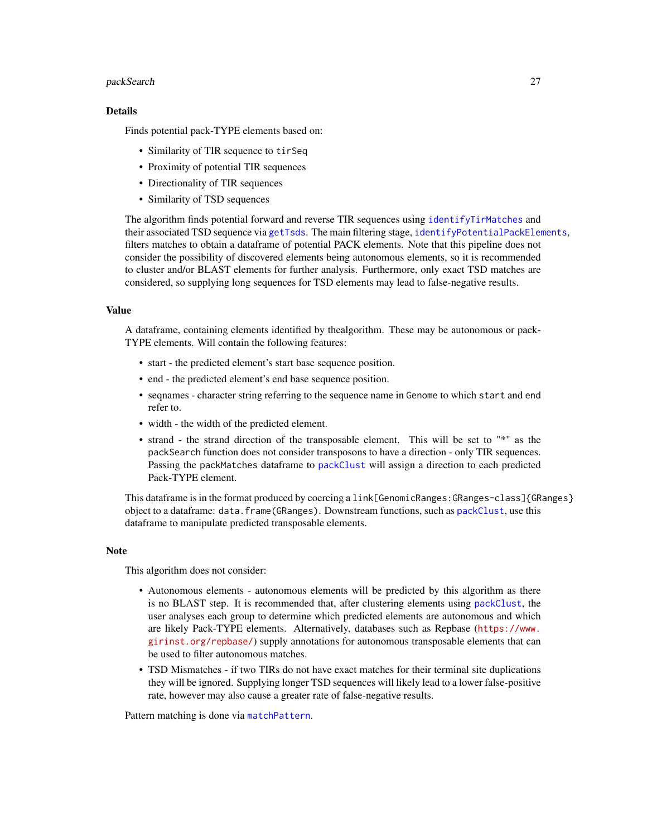#### <span id="page-26-0"></span>packSearch 27

#### Details

Finds potential pack-TYPE elements based on:

- Similarity of TIR sequence to tirSeq
- Proximity of potential TIR sequences
- Directionality of TIR sequences
- Similarity of TSD sequences

The algorithm finds potential forward and reverse TIR sequences using [identifyTirMatches](#page-14-1) and their associated TSD sequence via [getTsds](#page-12-1). The main filtering stage, [identifyPotentialPackElements](#page-13-1), filters matches to obtain a dataframe of potential PACK elements. Note that this pipeline does not consider the possibility of discovered elements being autonomous elements, so it is recommended to cluster and/or BLAST elements for further analysis. Furthermore, only exact TSD matches are considered, so supplying long sequences for TSD elements may lead to false-negative results.

#### Value

A dataframe, containing elements identified by thealgorithm. These may be autonomous or pack-TYPE elements. Will contain the following features:

- start the predicted element's start base sequence position.
- end the predicted element's end base sequence position.
- seqnames character string referring to the sequence name in Genome to which start and end refer to.
- width the width of the predicted element.
- strand the strand direction of the transposable element. This will be set to "\*" as the packSearch function does not consider transposons to have a direction - only TIR sequences. Passing the packMatches dataframe to [packClust](#page-21-1) will assign a direction to each predicted Pack-TYPE element.

This dataframe is in the format produced by coercing a link[GenomicRanges:GRanges-class]{GRanges} object to a dataframe: data.frame(GRanges). Downstream functions, such as [packClust](#page-21-1), use this dataframe to manipulate predicted transposable elements.

#### **Note**

This algorithm does not consider:

- Autonomous elements autonomous elements will be predicted by this algorithm as there is no BLAST step. It is recommended that, after clustering elements using [packClust](#page-21-1), the user analyses each group to determine which predicted elements are autonomous and which are likely Pack-TYPE elements. Alternatively, databases such as Repbase ([https://www.](https://www.girinst.org/repbase/) [girinst.org/repbase/](https://www.girinst.org/repbase/)) supply annotations for autonomous transposable elements that can be used to filter autonomous matches.
- TSD Mismatches if two TIRs do not have exact matches for their terminal site duplications they will be ignored. Supplying longer TSD sequences will likely lead to a lower false-positive rate, however may also cause a greater rate of false-negative results.

Pattern matching is done via [matchPattern](#page-0-0).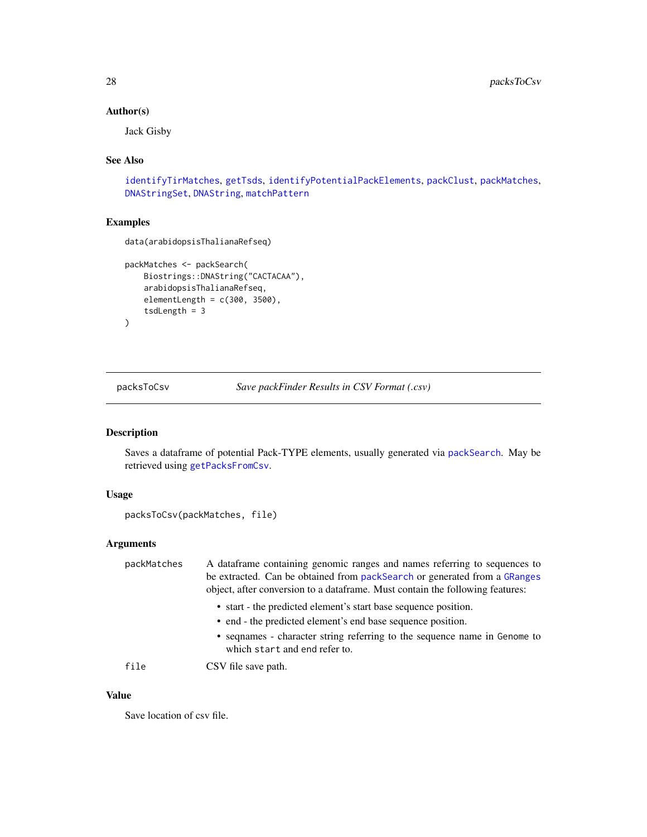# Author(s)

Jack Gisby

# See Also

[identifyTirMatches](#page-14-1), [getTsds](#page-12-1), [identifyPotentialPackElements](#page-13-1), [packClust](#page-21-1), [packMatches](#page-24-1), [DNAStringSet](#page-0-0), [DNAString](#page-0-0), [matchPattern](#page-0-0)

#### Examples

data(arabidopsisThalianaRefseq)

```
packMatches <- packSearch(
   Biostrings::DNAString("CACTACAA"),
   arabidopsisThalianaRefseq,
   elementLength = c(300, 3500),
    tsdLength = 3
\mathcal{L}
```
<span id="page-27-1"></span>packsToCsv *Save packFinder Results in CSV Format (.csv)*

# Description

Saves a dataframe of potential Pack-TYPE elements, usually generated via [packSearch](#page-25-1). May be retrieved using [getPacksFromCsv](#page-9-1).

# Usage

```
packsToCsv(packMatches, file)
```
# Arguments

| packMatches | A dataframe containing genomic ranges and names referring to sequences to<br>be extracted. Can be obtained from packSearch or generated from a GRanges<br>object, after conversion to a data frame. Must contain the following features: |
|-------------|------------------------------------------------------------------------------------------------------------------------------------------------------------------------------------------------------------------------------------------|
|             | • start - the predicted element's start base sequence position.                                                                                                                                                                          |
|             | • end - the predicted element's end base sequence position.                                                                                                                                                                              |
|             | • sequence in Genome to sequence name in Genome to<br>which start and end refer to.                                                                                                                                                      |
| file        | CSV file save path.                                                                                                                                                                                                                      |

#### Value

Save location of csv file.

<span id="page-27-0"></span>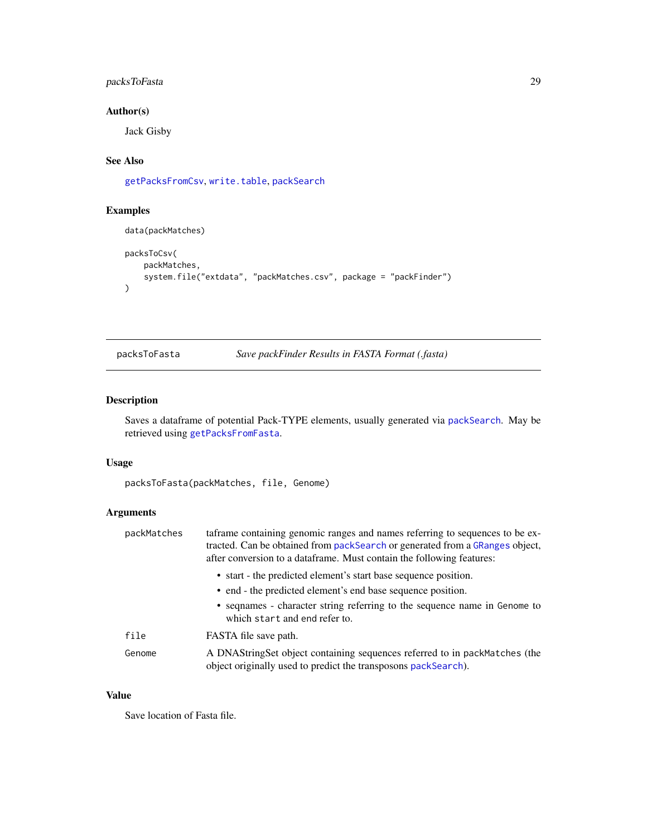# <span id="page-28-0"></span>packsToFasta 29

# Author(s)

Jack Gisby

# See Also

[getPacksFromCsv](#page-9-1), [write.table](#page-0-0), [packSearch](#page-25-1)

# Examples

```
data(packMatches)
packsToCsv(
    packMatches,
    system.file("extdata", "packMatches.csv", package = "packFinder")
\lambda
```
packsToFasta *Save packFinder Results in FASTA Format (.fasta)*

# Description

Saves a dataframe of potential Pack-TYPE elements, usually generated via [packSearch](#page-25-1). May be retrieved using [getPacksFromFasta](#page-10-1).

#### Usage

packsToFasta(packMatches, file, Genome)

# Arguments

| packMatches | taframe containing genomic ranges and names referring to sequences to be ex-<br>tracted. Can be obtained from packSearch or generated from a GRanges object,<br>after conversion to a dataframe. Must contain the following features: |
|-------------|---------------------------------------------------------------------------------------------------------------------------------------------------------------------------------------------------------------------------------------|
|             | • start - the predicted element's start base sequence position.<br>• end - the predicted element's end base sequence position.                                                                                                        |
|             | • sequence - character string referring to the sequence name in Genome to<br>which start and end refer to.                                                                                                                            |
| file        | FASTA file save path.                                                                                                                                                                                                                 |
| Genome      | A DNAStringSet object containing sequences referred to in packMatches (the<br>object originally used to predict the transposons packSearch).                                                                                          |

#### Value

Save location of Fasta file.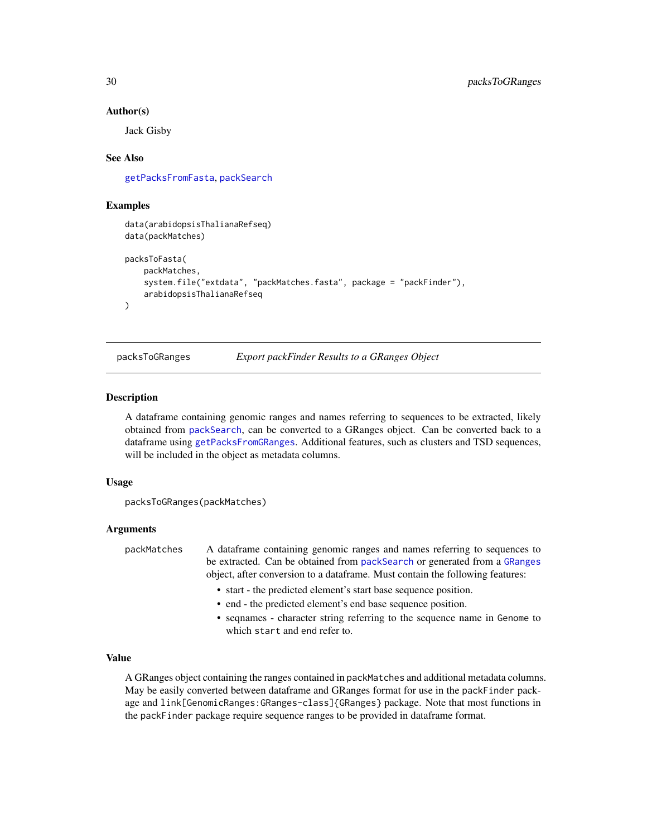#### Author(s)

Jack Gisby

#### See Also

[getPacksFromFasta](#page-10-1), [packSearch](#page-25-1)

### Examples

```
data(arabidopsisThalianaRefseq)
data(packMatches)
packsToFasta(
    packMatches,
    system.file("extdata", "packMatches.fasta", package = "packFinder"),
    arabidopsisThalianaRefseq
\lambda
```
<span id="page-29-1"></span>packsToGRanges *Export packFinder Results to a GRanges Object*

#### Description

A dataframe containing genomic ranges and names referring to sequences to be extracted, likely obtained from [packSearch](#page-25-1), can be converted to a GRanges object. Can be converted back to a dataframe using [getPacksFromGRanges](#page-11-1). Additional features, such as clusters and TSD sequences, will be included in the object as metadata columns.

#### Usage

```
packsToGRanges(packMatches)
```
#### Arguments

packMatches A dataframe containing genomic ranges and names referring to sequences to be extracted. Can be obtained from [packSearch](#page-25-1) or generated from a [GRanges](#page-0-0) object, after conversion to a dataframe. Must contain the following features:

- start the predicted element's start base sequence position.
- end the predicted element's end base sequence position.
- seqnames character string referring to the sequence name in Genome to which start and end refer to.

#### Value

A GRanges object containing the ranges contained in packMatches and additional metadata columns. May be easily converted between dataframe and GRanges format for use in the packFinder package and link[GenomicRanges:GRanges-class]{GRanges} package. Note that most functions in the packFinder package require sequence ranges to be provided in dataframe format.

<span id="page-29-0"></span>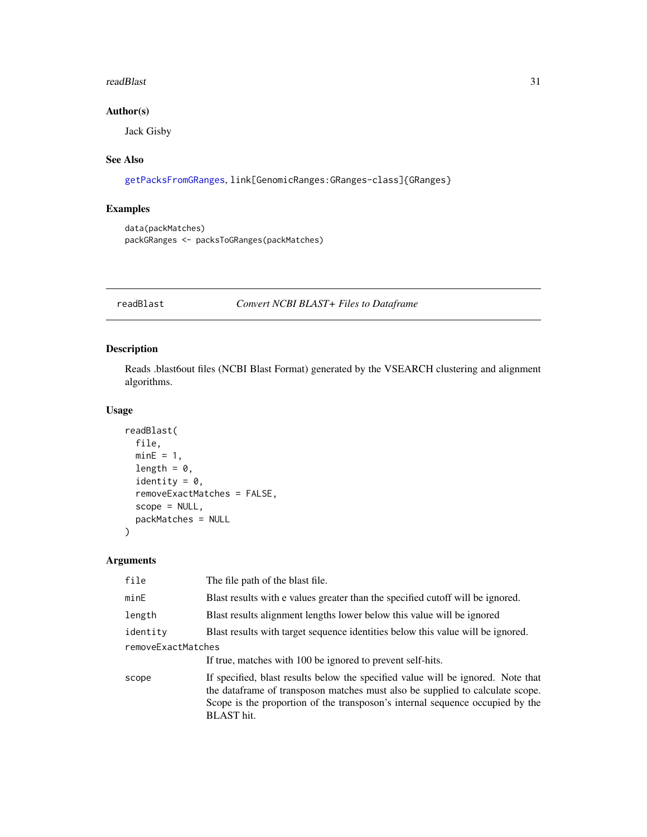#### <span id="page-30-0"></span>readBlast 31

# Author(s)

Jack Gisby

# See Also

```
getPacksFromGRanges, link[GenomicRanges:GRanges-class]{GRanges}
```
# Examples

```
data(packMatches)
packGRanges <- packsToGRanges(packMatches)
```
<span id="page-30-1"></span>readBlast *Convert NCBI BLAST+ Files to Dataframe*

# Description

Reads .blast6out files (NCBI Blast Format) generated by the VSEARCH clustering and alignment algorithms.

# Usage

```
readBlast(
  file,
 minE = 1,
  length = 0,
  identity = 0,
  removeExactMatches = FALSE,
  scope = NULL,
 packMatches = NULL
)
```
#### Arguments

| file               | The file path of the blast file.                                                                                                                                                                                                                                         |  |
|--------------------|--------------------------------------------------------------------------------------------------------------------------------------------------------------------------------------------------------------------------------------------------------------------------|--|
| minE               | Blast results with e values greater than the specified cutoff will be ignored.                                                                                                                                                                                           |  |
| length             | Blast results alignment lengths lower below this value will be ignored                                                                                                                                                                                                   |  |
| identity           | Blast results with target sequence identities below this value will be ignored.                                                                                                                                                                                          |  |
| removeExactMatches |                                                                                                                                                                                                                                                                          |  |
|                    | If true, matches with 100 be ignored to prevent self-hits.                                                                                                                                                                                                               |  |
| scope              | If specified, blast results below the specified value will be ignored. Note that<br>the data frame of transposon matches must also be supplied to calculate scope.<br>Scope is the proportion of the transposon's internal sequence occupied by the<br><b>BLAST</b> hit. |  |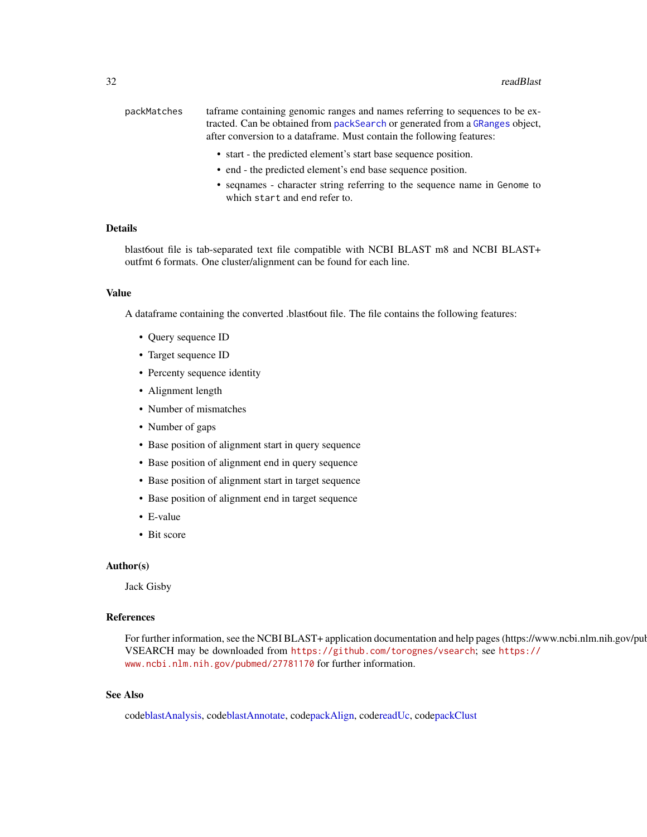<span id="page-31-0"></span>

| packMatches | taframe containing genomic ranges and names referring to sequences to be ex-  |
|-------------|-------------------------------------------------------------------------------|
|             | tracted. Can be obtained from pack Search or generated from a GRanges object, |
|             | after conversion to a dataframe. Must contain the following features:         |
|             |                                                                               |

- start the predicted element's start base sequence position.
- end the predicted element's end base sequence position.
- seqnames character string referring to the sequence name in Genome to which start and end refer to.

#### Details

blast6out file is tab-separated text file compatible with NCBI BLAST m8 and NCBI BLAST+ outfmt 6 formats. One cluster/alignment can be found for each line.

#### Value

A dataframe containing the converted .blast6out file. The file contains the following features:

- Query sequence ID
- Target sequence ID
- Percenty sequence identity
- Alignment length
- Number of mismatches
- Number of gaps
- Base position of alignment start in query sequence
- Base position of alignment end in query sequence
- Base position of alignment start in target sequence
- Base position of alignment end in target sequence
- E-value
- Bit score

#### Author(s)

Jack Gisby

# References

For further information, see the NCBI BLAST+ application documentation and help pages (https://www.ncbi.nlm.nih.gov/pul VSEARCH may be downloaded from <https://github.com/torognes/vsearch>; see [https://](https://www.ncbi.nlm.nih.gov/pubmed/27781170) [www.ncbi.nlm.nih.gov/pubmed/27781170](https://www.ncbi.nlm.nih.gov/pubmed/27781170) for further information.

#### See Also

cod[eblastAnalysis,](#page-2-1) cod[eblastAnnotate,](#page-4-1) cod[epackAlign,](#page-17-1) cod[ereadUc,](#page-32-1) cod[epackClust](#page-21-1)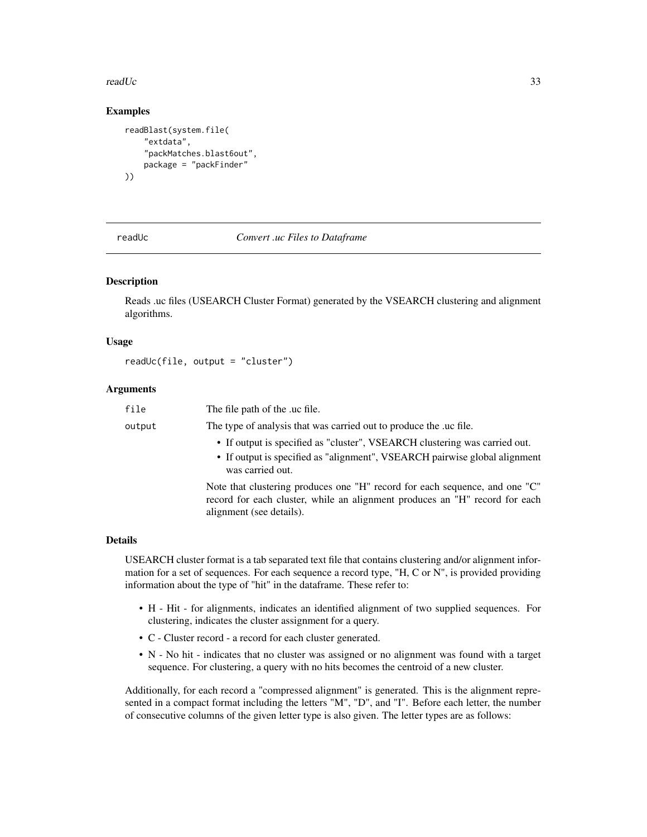#### <span id="page-32-0"></span>readUc 33

### Examples

```
readBlast(system.file(
    "extdata",
    "packMatches.blast6out",
   package = "packFinder"
))
```
<span id="page-32-1"></span>readUc *Convert .uc Files to Dataframe*

#### Description

Reads .uc files (USEARCH Cluster Format) generated by the VSEARCH clustering and alignment algorithms.

#### Usage

```
readUc(file, output = "cluster")
```
#### Arguments

| file   | The file path of the .uc file.                                                                                                                                                         |  |
|--------|----------------------------------------------------------------------------------------------------------------------------------------------------------------------------------------|--|
| output | The type of analysis that was carried out to produce the .uc file.                                                                                                                     |  |
|        | • If output is specified as "cluster", VSEARCH clustering was carried out.<br>• If output is specified as "alignment", VSEARCH pairwise global alignment<br>was carried out.           |  |
|        | Note that clustering produces one "H" record for each sequence, and one "C"<br>record for each cluster, while an alignment produces an "H" record for each<br>alignment (see details). |  |

#### Details

USEARCH cluster format is a tab separated text file that contains clustering and/or alignment information for a set of sequences. For each sequence a record type, "H, C or N", is provided providing information about the type of "hit" in the dataframe. These refer to:

- H Hit for alignments, indicates an identified alignment of two supplied sequences. For clustering, indicates the cluster assignment for a query.
- C Cluster record a record for each cluster generated.
- N No hit indicates that no cluster was assigned or no alignment was found with a target sequence. For clustering, a query with no hits becomes the centroid of a new cluster.

Additionally, for each record a "compressed alignment" is generated. This is the alignment represented in a compact format including the letters "M", "D", and "I". Before each letter, the number of consecutive columns of the given letter type is also given. The letter types are as follows: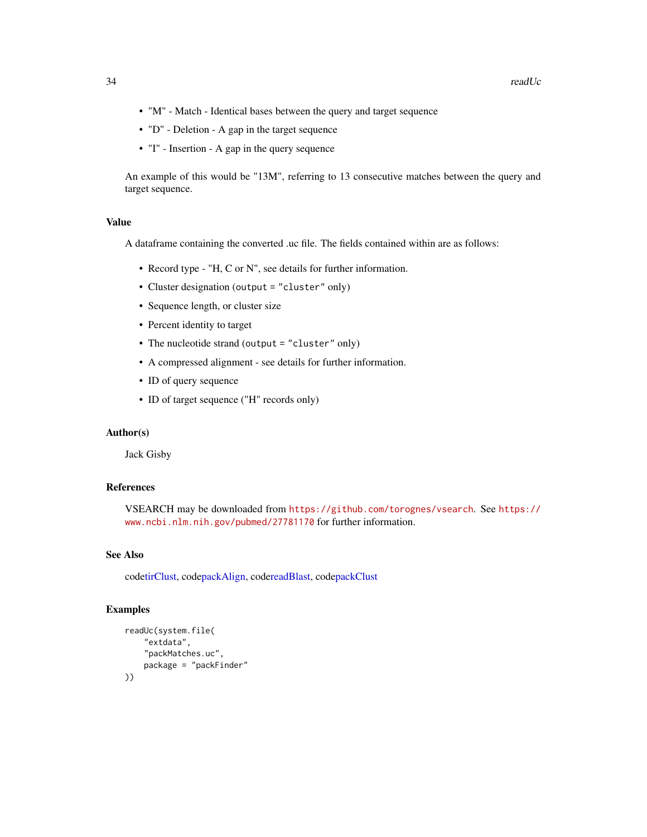- <span id="page-33-0"></span>• "M" - Match - Identical bases between the query and target sequence
- "D" Deletion A gap in the target sequence
- "I" Insertion A gap in the query sequence

An example of this would be "13M", referring to 13 consecutive matches between the query and target sequence.

# Value

A dataframe containing the converted .uc file. The fields contained within are as follows:

- Record type "H, C or N", see details for further information.
- Cluster designation (output = "cluster" only)
- Sequence length, or cluster size
- Percent identity to target
- The nucleotide strand (output = "cluster" only)
- A compressed alignment see details for further information.
- ID of query sequence
- ID of target sequence ("H" records only)

#### Author(s)

Jack Gisby

# References

VSEARCH may be downloaded from <https://github.com/torognes/vsearch>. See [https://](https://www.ncbi.nlm.nih.gov/pubmed/27781170) [www.ncbi.nlm.nih.gov/pubmed/27781170](https://www.ncbi.nlm.nih.gov/pubmed/27781170) for further information.

# See Also

cod[etirClust,](#page-34-1) cod[epackAlign,](#page-17-1) cod[ereadBlast,](#page-30-1) cod[epackClust](#page-21-1)

# Examples

```
readUc(system.file(
    "extdata",
    "packMatches.uc",
    package = "packFinder"
))
```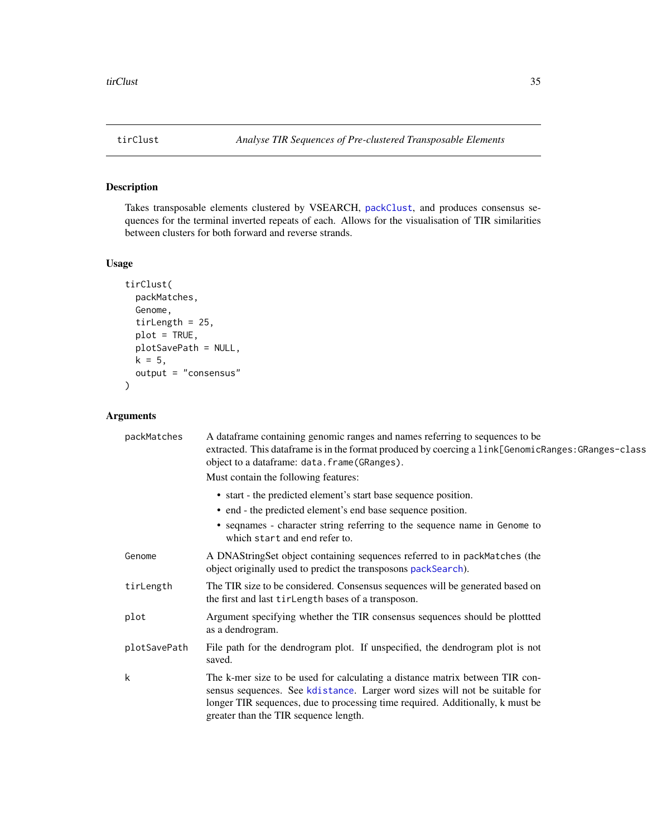<span id="page-34-1"></span><span id="page-34-0"></span>

# Description

Takes transposable elements clustered by VSEARCH, [packClust](#page-21-1), and produces consensus sequences for the terminal inverted repeats of each. Allows for the visualisation of TIR similarities between clusters for both forward and reverse strands.

#### Usage

```
tirClust(
  packMatches,
  Genome,
  tirLength = 25,
 plot = TRUE,
 plotSavePath = NULL,
 k = 5,output = "consensus"
)
```
# Arguments

| packMatches  | A dataframe containing genomic ranges and names referring to sequences to be<br>extracted. This dataframe is in the format produced by coercing a link[GenomicRanges: GRanges-class<br>object to a dataframe: data.frame(GRanges).<br>Must contain the following features:             |
|--------------|----------------------------------------------------------------------------------------------------------------------------------------------------------------------------------------------------------------------------------------------------------------------------------------|
|              | • start - the predicted element's start base sequence position.                                                                                                                                                                                                                        |
|              | • end - the predicted element's end base sequence position.                                                                                                                                                                                                                            |
|              | • seqnames - character string referring to the sequence name in Genome to<br>which start and end refer to.                                                                                                                                                                             |
| Genome       | A DNAStringSet object containing sequences referred to in packMatches (the<br>object originally used to predict the transposons packSearch).                                                                                                                                           |
| tirLength    | The TIR size to be considered. Consensus sequences will be generated based on<br>the first and last tirlength bases of a transposon.                                                                                                                                                   |
| plot         | Argument specifying whether the TIR consensus sequences should be plotted<br>as a dendrogram.                                                                                                                                                                                          |
| plotSavePath | File path for the dendrogram plot. If unspecified, the dendrogram plot is not<br>saved.                                                                                                                                                                                                |
| k            | The k-mer size to be used for calculating a distance matrix between TIR con-<br>sensus sequences. See kdistance. Larger word sizes will not be suitable for<br>longer TIR sequences, due to processing time required. Additionally, k must be<br>greater than the TIR sequence length. |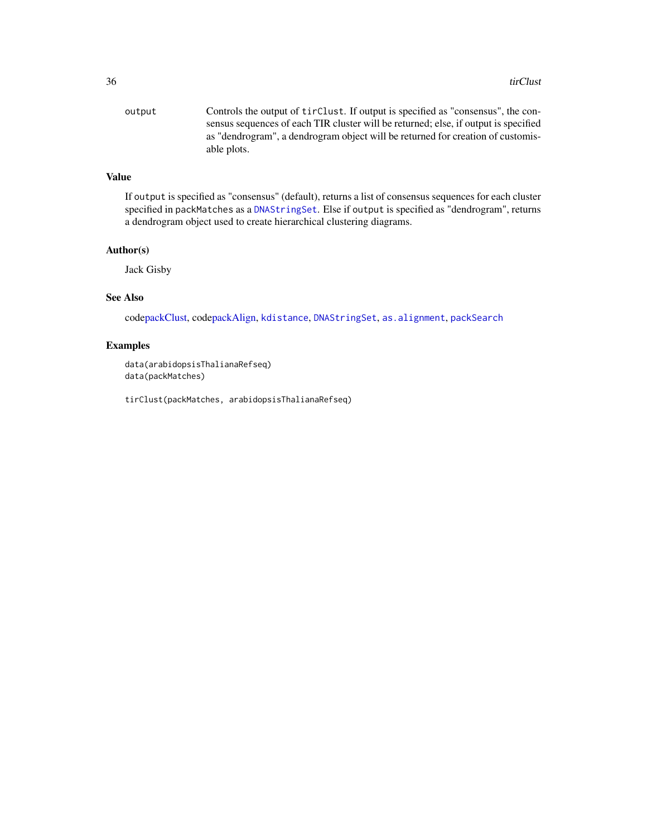<span id="page-35-0"></span>output Controls the output of tirClust. If output is specified as "consensus", the consensus sequences of each TIR cluster will be returned; else, if output is specified as "dendrogram", a dendrogram object will be returned for creation of customisable plots.

# Value

If output is specified as "consensus" (default), returns a list of consensus sequences for each cluster specified in packMatches as a [DNAStringSet](#page-0-0). Else if output is specified as "dendrogram", returns a dendrogram object used to create hierarchical clustering diagrams.

#### Author(s)

Jack Gisby

# See Also

cod[epackClust,](#page-21-1) cod[epackAlign,](#page-17-1) [kdistance](#page-0-0), [DNAStringSet](#page-0-0), [as.alignment](#page-0-0), [packSearch](#page-25-1)

#### Examples

data(arabidopsisThalianaRefseq) data(packMatches)

tirClust(packMatches, arabidopsisThalianaRefseq)